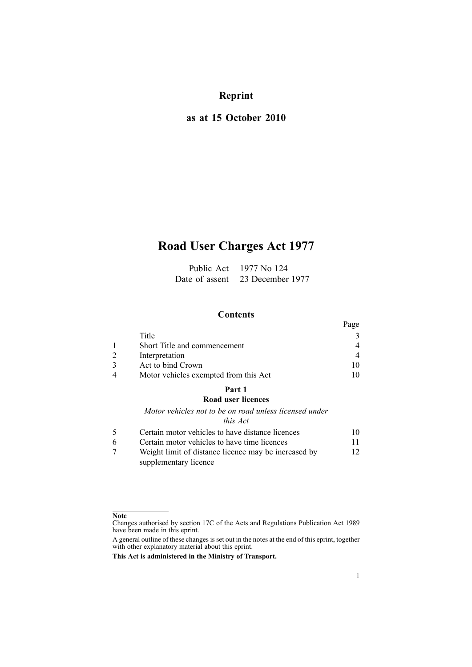## **Reprint**

## **as at 15 October 2010**

# **Road User Charges Act 1977**

| Public Act     | 1977 No 124      |
|----------------|------------------|
| Date of assent | 23 December 1977 |

## **Contents**

|                                       | Page |
|---------------------------------------|------|
| Title                                 |      |
| Short Title and commencement          |      |
| Interpretation                        |      |
| Act to bind Crown                     |      |
| Motor vehicles exempted from this Act |      |

## **[Part](#page-9-0) 1**

### **Road user [licences](#page-9-0)**

*Motor vehicles not to be on road unless [licensed](#page-9-0) under*

## *this [Act](#page-9-0)*

|   | Certain motor vehicles to have distance licences     | 10.          |
|---|------------------------------------------------------|--------------|
| 6 | Certain motor vehicles to have time licences         | $\mathbf{1}$ |
|   | Weight limit of distance licence may be increased by | 12           |
|   | supplementary licence                                |              |

#### **Note**

Changes authorised by [section](http://www.legislation.govt.nz/pdflink.aspx?id=DLM195466) 17C of the Acts and Regulations Publication Act 1989 have been made in this eprint.

A general outline of these changes is set out in the notes at the end of this eprint, together with other explanatory material about this eprint.

**This Act is administered in the Ministry of Transport.**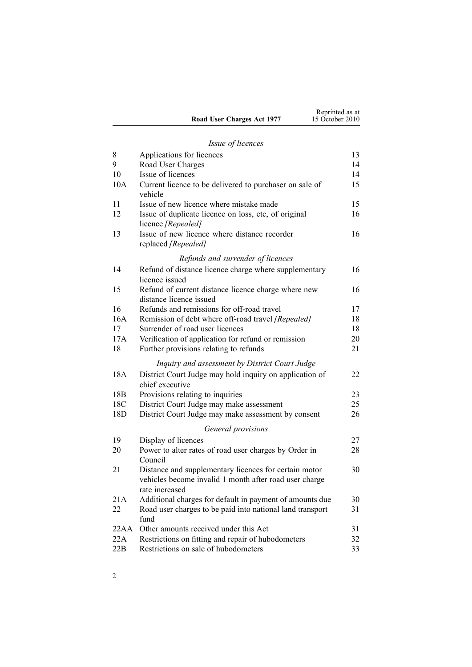|                            | Reprinted as at |
|----------------------------|-----------------|
| Road User Charges Act 1977 | 15 October 2010 |

## *Issue of [licences](#page-12-0)*

| 8               | Applications for licences                                                      | 13 |
|-----------------|--------------------------------------------------------------------------------|----|
| 9               | Road User Charges                                                              | 14 |
| 10              | Issue of licences                                                              | 14 |
| 10A             | Current licence to be delivered to purchaser on sale of<br>vehicle             | 15 |
| 11              | Issue of new licence where mistake made                                        | 15 |
| 12              | Issue of duplicate licence on loss, etc, of original<br>licence [Repealed]     | 16 |
| 13              | Issue of new licence where distance recorder<br>replaced [Repealed]            | 16 |
|                 | Refunds and surrender of licences                                              |    |
| 14              | Refund of distance licence charge where supplementary<br>licence issued        | 16 |
| 15              | Refund of current distance licence charge where new<br>distance licence issued | 16 |
| 16              | Refunds and remissions for off-road travel                                     | 17 |
| 16A             | Remission of debt where off-road travel [Repealed]                             | 18 |
| 17              | Surrender of road user licences                                                | 18 |
| 17A             | Verification of application for refund or remission                            | 20 |
| 18              | Further provisions relating to refunds                                         | 21 |
|                 | Inquiry and assessment by District Court Judge                                 |    |
| 18A             | District Court Judge may hold inquiry on application of<br>chief executive     | 22 |
| 18 <sub>B</sub> | Provisions relating to inquiries                                               | 23 |
| 18C             | District Court Judge may make assessment                                       | 25 |
| 18D             | District Court Judge may make assessment by consent                            | 26 |
|                 | General provisions                                                             |    |
| 19              | Display of licences                                                            | 27 |
| 20              | Power to alter rates of road user charges by Order in                          | 28 |
|                 | Council                                                                        |    |
| 21              | Distance and supplementary licences for certain motor                          | 30 |
|                 | vehicles become invalid 1 month after road user charge                         |    |
|                 | rate increased                                                                 |    |
| 21A             | Additional charges for default in payment of amounts due                       | 30 |
| 22              | Road user charges to be paid into national land transport<br>fund              | 31 |
| 22AA            | Other amounts received under this Act                                          | 31 |
| 22A             | Restrictions on fitting and repair of hubodometers                             | 32 |
| 22B             | Restrictions on sale of hubodometers                                           | 33 |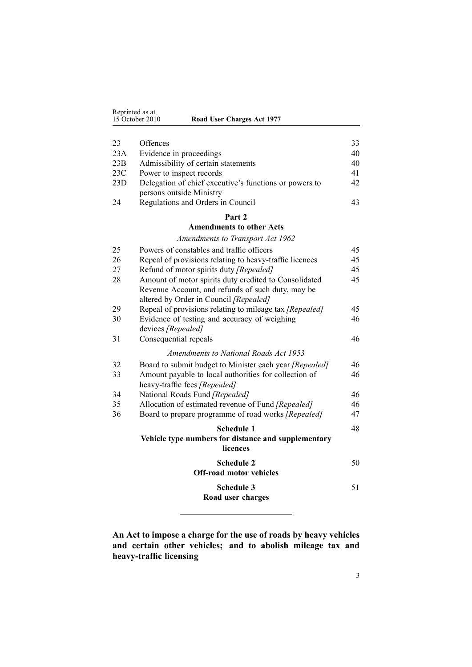<span id="page-2-0"></span>

| Reprinted as at<br>15 October 2010<br>Road User Charges Act 1977 |  |
|------------------------------------------------------------------|--|
|------------------------------------------------------------------|--|

| 23  | Offences                                                | 33 |
|-----|---------------------------------------------------------|----|
| 23A | Evidence in proceedings                                 | 40 |
| 23B | Admissibility of certain statements                     | 40 |
| 23C | Power to inspect records                                | 41 |
| 23D | Delegation of chief executive's functions or powers to  | 42 |
|     | persons outside Ministry                                |    |
| 24  | Regulations and Orders in Council                       | 43 |
|     | Part 2                                                  |    |
|     | <b>Amendments to other Acts</b>                         |    |
|     | <b>Amendments to Transport Act 1962</b>                 |    |
| 25  | Powers of constables and traffic officers               | 45 |
| 26  | Repeal of provisions relating to heavy-traffic licences | 45 |
| 27  | Refund of motor spirits duty [Repealed]                 | 45 |
| 28  | Amount of motor spirits duty credited to Consolidated   | 45 |
|     | Revenue Account, and refunds of such duty, may be       |    |
|     | altered by Order in Council [Repealed]                  |    |
| 29  | Repeal of provisions relating to mileage tax [Repealed] | 45 |
| 30  | Evidence of testing and accuracy of weighing            | 46 |
|     | devices [Repealed]                                      |    |
| 31  | Consequential repeals                                   | 46 |
|     | <b>Amendments to National Roads Act 1953</b>            |    |
| 32  | Board to submit budget to Minister each year [Repealed] | 46 |
| 33  | Amount payable to local authorities for collection of   | 46 |
|     | heavy-traffic fees [Repealed]                           |    |
| 34  | National Roads Fund [Repealed]                          | 46 |
| 35  | Allocation of estimated revenue of Fund [Repealed]      | 46 |
| 36  | Board to prepare programme of road works [Repealed]     | 47 |
|     | <b>Schedule 1</b>                                       | 48 |
|     | Vehicle type numbers for distance and supplementary     |    |
|     | licences                                                |    |
|     | <b>Schedule 2</b>                                       | 50 |
|     | <b>Off-road motor vehicles</b>                          |    |
|     | <b>Schedule 3</b>                                       | 51 |
|     | Road user charges                                       |    |

**An Act to impose <sup>a</sup> charge for the use of roads by heavy vehicles and certain other vehicles; and to abolish mileage tax and heavy-traffic licensing**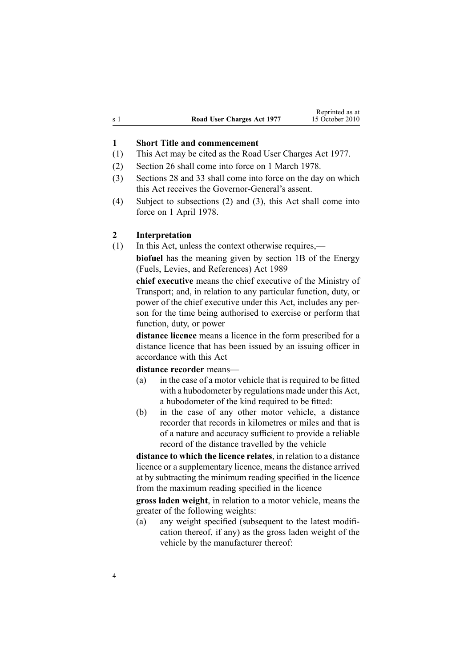<span id="page-3-0"></span>

|     |                            | Reprinted as at |
|-----|----------------------------|-----------------|
| s 1 | Road User Charges Act 1977 | 15 October 2010 |

#### **1 Short Title and commencement**

- (1) This Act may be cited as the Road User Charges Act 1977.
- (2) [Section](#page-44-0) 26 shall come into force on 1 March 1978.
- (3) [Sections](#page-44-0) 28 and [33](#page-45-0) shall come into force on the day on which this Act receives the Governor-General's assent.
- (4) Subject to subsections (2) and (3), this Act shall come into force on 1 April 1978.

#### **2 Interpretation**

(1) In this Act, unless the context otherwise requires,—

**biofuel** has the meaning given by [section](http://www.legislation.govt.nz/pdflink.aspx?id=DLM1660100) 1B of the Energy (Fuels, Levies, and References) Act 1989

**chief executive** means the chief executive of the Ministry of Transport; and, in relation to any particular function, duty, or power of the chief executive under this Act, includes any person for the time being authorised to exercise or perform that function, duty, or power

**distance licence** means <sup>a</sup> licence in the form prescribed for <sup>a</sup> distance licence that has been issued by an issuing officer in accordance with this Act

#### **distance recorder** means—

- (a) in the case of <sup>a</sup> motor vehicle that is required to be fitted with <sup>a</sup> hubodometer by regulations made under this Act, <sup>a</sup> hubodometer of the kind required to be fitted:
- (b) in the case of any other motor vehicle, <sup>a</sup> distance recorder that records in kilometres or miles and that is of <sup>a</sup> nature and accuracy sufficient to provide <sup>a</sup> reliable record of the distance travelled by the vehicle

**distance to which the licence relates**, in relation to <sup>a</sup> distance licence or <sup>a</sup> supplementary licence, means the distance arrived at by subtracting the minimum reading specified in the licence from the maximum reading specified in the licence

**gross laden weight**, in relation to <sup>a</sup> motor vehicle, means the greater of the following weights:

(a) any weight specified (subsequent to the latest modification thereof, if any) as the gross laden weight of the vehicle by the manufacturer thereof: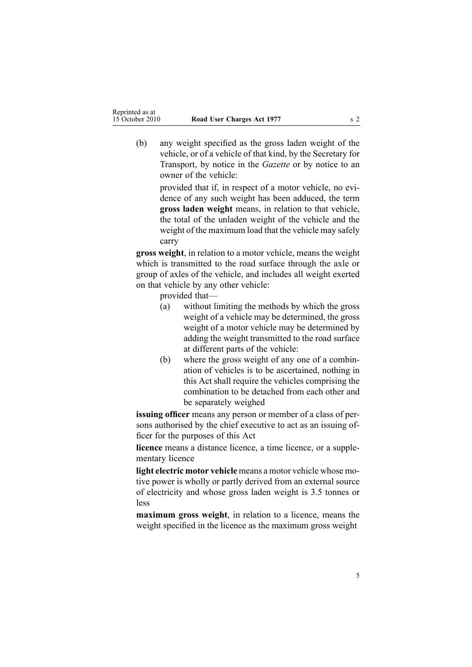(b) any weight specified as the gross laden weight of the vehicle, or of <sup>a</sup> vehicle of that kind, by the Secretary for Transport, by notice in the *Gazette* or by notice to an owner of the vehicle:

> provided that if, in respec<sup>t</sup> of <sup>a</sup> motor vehicle, no evidence of any such weight has been adduced, the term **gross laden weight** means, in relation to that vehicle, the total of the unladen weight of the vehicle and the weight of the maximum load that the vehicle may safely carry

**gross weight**, in relation to <sup>a</sup> motor vehicle, means the weight which is transmitted to the road surface through the axle or group of axles of the vehicle, and includes all weight exerted on that vehicle by any other vehicle:

provided that—

- (a) without limiting the methods by which the gross weight of <sup>a</sup> vehicle may be determined, the gross weight of <sup>a</sup> motor vehicle may be determined by adding the weight transmitted to the road surface at different parts of the vehicle:
- (b) where the gross weight of any one of <sup>a</sup> combination of vehicles is to be ascertained, nothing in this Act shall require the vehicles comprising the combination to be detached from each other and be separately weighed

**issuing officer** means any person or member of <sup>a</sup> class of persons authorised by the chief executive to act as an issuing officer for the purposes of this Act

**licence** means <sup>a</sup> distance licence, <sup>a</sup> time licence, or <sup>a</sup> supplementary licence

**light electric motor vehicle** means <sup>a</sup> motor vehicle whose motive power is wholly or partly derived from an external source of electricity and whose gross laden weight is 3.5 tonnes or less

**maximum gross weight**, in relation to <sup>a</sup> licence, means the weight specified in the licence as the maximum gross weight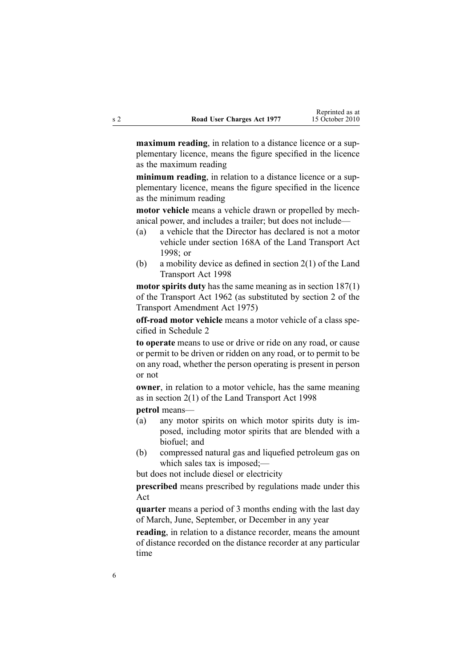**maximum reading**, in relation to <sup>a</sup> distance licence or <sup>a</sup> supplementary licence, means the figure specified in the licence as the maximum reading

**minimum reading**, in relation to <sup>a</sup> distance licence or <sup>a</sup> supplementary licence, means the figure specified in the licence as the minimum reading

**motor vehicle** means <sup>a</sup> vehicle drawn or propelled by mechanical power, and includes <sup>a</sup> trailer; but does not include—

- (a) <sup>a</sup> vehicle that the Director has declared is not <sup>a</sup> motor vehicle under [section](http://www.legislation.govt.nz/pdflink.aspx?id=DLM435415) 168A of the Land Transport Act 1998; or
- (b) <sup>a</sup> mobility device as defined in [section](http://www.legislation.govt.nz/pdflink.aspx?id=DLM433619) 2(1) of the Land Transport Act 1998

**motor spirits duty** has the same meaning as in section [187\(1\)](http://www.legislation.govt.nz/pdflink.aspx?id=DLM344812) of the Transport Act 1962 (as substituted by section 2 of the Transport Amendment Act 1975)

**off-road motor vehicle** means <sup>a</sup> motor vehicle of <sup>a</sup> class specified in [Schedule](#page-49-0) 2

**to operate** means to use or drive or ride on any road, or cause or permit to be driven or ridden on any road, or to permit to be on any road, whether the person operating is presen<sup>t</sup> in person or not

**owner**, in relation to <sup>a</sup> motor vehicle, has the same meaning as in [section](http://www.legislation.govt.nz/pdflink.aspx?id=DLM433619) 2(1) of the Land Transport Act 1998

**petrol** means—

- (a) any motor spirits on which motor spirits duty is imposed, including motor spirits that are blended with <sup>a</sup> biofuel; and
- (b) compressed natural gas and liquefied petroleum gas on which sales tax is imposed;—

but does not include diesel or electricity

**prescribed** means prescribed by regulations made under this Act

**quarter** means <sup>a</sup> period of 3 months ending with the last day of March, June, September, or December in any year

**reading**, in relation to <sup>a</sup> distance recorder, means the amount of distance recorded on the distance recorder at any particular time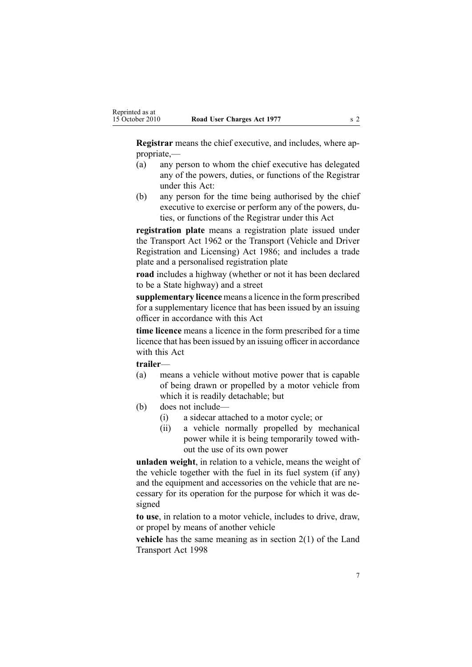**Registrar** means the chief executive, and includes, where appropriate,—

- (a) any person to whom the chief executive has delegated any of the powers, duties, or functions of the Registrar under this Act:
- (b) any person for the time being authorised by the chief executive to exercise or perform any of the powers, duties, or functions of the Registrar under this Act

**registration plate** means a registration plate issued under the [Transport](http://www.legislation.govt.nz/pdflink.aspx?id=DLM341189) Act 1962 or the [Transport](http://www.legislation.govt.nz/pdflink.aspx?id=DLM90414) (Vehicle and Driver [Registration](http://www.legislation.govt.nz/pdflink.aspx?id=DLM90414) and Licensing) Act 1986; and includes <sup>a</sup> trade plate and <sup>a</sup> personalised registration plate

**road** includes <sup>a</sup> highway (whether or not it has been declared to be <sup>a</sup> State highway) and <sup>a</sup> street

**supplementary licence** means <sup>a</sup> licence in the form prescribed for <sup>a</sup> supplementary licence that has been issued by an issuing officer in accordance with this Act

**time licence** means <sup>a</sup> licence in the form prescribed for <sup>a</sup> time licence that has been issued by an issuing officer in accordance with this Act

**trailer**—

- (a) means <sup>a</sup> vehicle without motive power that is capable of being drawn or propelled by <sup>a</sup> motor vehicle from which it is readily detachable; but
- (b) does not include—
	- (i) <sup>a</sup> sidecar attached to <sup>a</sup> motor cycle; or
	- (ii) <sup>a</sup> vehicle normally propelled by mechanical power while it is being temporarily towed without the use of its own power

**unladen weight**, in relation to <sup>a</sup> vehicle, means the weight of the vehicle together with the fuel in its fuel system (if any) and the equipment and accessories on the vehicle that are necessary for its operation for the purpose for which it was designed

**to use**, in relation to <sup>a</sup> motor vehicle, includes to drive, draw, or propel by means of another vehicle

**vehicle** has the same meaning as in [section](http://www.legislation.govt.nz/pdflink.aspx?id=DLM433619) 2(1) of the Land Transport Act 1998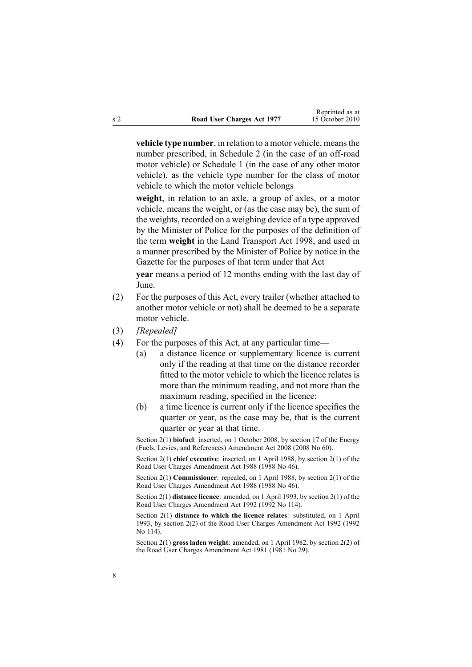**vehicle type number**, in relation to <sup>a</sup> motor vehicle, meansthe number prescribed, in [Schedule](#page-49-0) 2 (in the case of an off-road motor vehicle) or [Schedule](#page-47-0) 1 (in the case of any other motor vehicle), as the vehicle type number for the class of motor vehicle to which the motor vehicle belongs

**weight**, in relation to an axle, <sup>a</sup> group of axles, or <sup>a</sup> motor vehicle, means the weight, or (as the case may be), the sum of the weights, recorded on <sup>a</sup> weighing device of <sup>a</sup> type approved by the Minister of Police for the purposes of the definition of the term **weight** in the Land [Transport](http://www.legislation.govt.nz/pdflink.aspx?id=DLM433612) Act 1998, and used in <sup>a</sup> manner prescribed by the Minister of Police by notice in the Gazette for the purposes of that term under that Act

**year** means <sup>a</sup> period of 12 months ending with the last day of June.

- (2) For the purposes of this Act, every trailer (whether attached to another motor vehicle or not) shall be deemed to be <sup>a</sup> separate motor vehicle.
- (3) *[Repealed]*
- (4) For the purposes of this Act, at any particular time—
	- (a) <sup>a</sup> distance licence or supplementary licence is current only if the reading at that time on the distance recorder fitted to the motor vehicle to which the licence relates is more than the minimum reading, and not more than the maximum reading, specified in the licence:
	- (b) <sup>a</sup> time licence is current only if the licence specifies the quarter or year, as the case may be, that is the current quarter or year at that time.

Section 2(1) **biofuel**: inserted, on 1 October 2008, by [section](http://www.legislation.govt.nz/pdflink.aspx?id=DLM1382846) 17 of the Energy (Fuels, Levies, and References) Amendment Act 2008 (2008 No 60).

Section 2(1) **chief executive**: inserted, on 1 April 1988, by section 2(1) of the Road User Charges Amendment Act 1988 (1988 No 46).

Section 2(1) **Commissioner**: repealed, on 1 April 1988, by section 2(1) of the Road User Charges Amendment Act 1988 (1988 No 46).

Section 2(1) **distance licence**: amended, on 1 April 1993, by section 2(1) of the Road User Charges Amendment Act 1992 (1992 No 114).

Section 2(1) **distance to which the licence relates**: substituted, on 1 April 1993, by section 2(2) of the Road User Charges Amendment Act 1992 (1992 No 114).

Section 2(1) **gross laden weight**: amended, on 1 April 1982, by [section](http://www.legislation.govt.nz/pdflink.aspx?id=DLM44887) 2(2) of the Road User Charges Amendment Act 1981 (1981 No 29).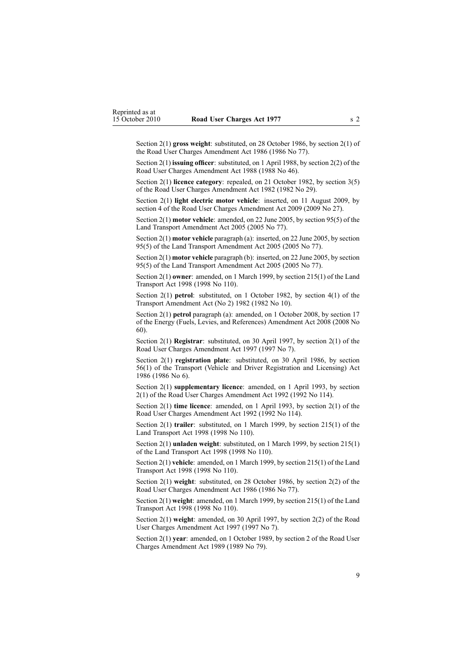Section 2(1) **gross weight**: substituted, on 28 October 1986, by section 2(1) of the Road User Charges Amendment Act 1986 (1986 No 77).

Section 2(1) **issuing officer**: substituted, on 1 April 1988, by section 2(2) of the Road User Charges Amendment Act 1988 (1988 No 46).

Section 2(1) **licence category**: repealed, on 21 October 1982, by [section](http://www.legislation.govt.nz/pdflink.aspx?id=DLM59703) 3(5) of the Road User Charges Amendment Act 1982 (1982 No 29).

Section 2(1) **light electric motor vehicle**: inserted, on 11 August 2009, by [section](http://www.legislation.govt.nz/pdflink.aspx?id=DLM2172209) 4 of the Road User Charges Amendment Act 2009 (2009 No 27).

Section 2(1) **motor vehicle**: amended, on 22 June 2005, by [section](http://www.legislation.govt.nz/pdflink.aspx?id=DLM353501) 95(5) of the Land Transport Amendment Act 2005 (2005 No 77).

Section 2(1) **motor vehicle** paragraph (a): inserted, on 22 June 2005, by [section](http://www.legislation.govt.nz/pdflink.aspx?id=DLM353501) [95\(5\)](http://www.legislation.govt.nz/pdflink.aspx?id=DLM353501) of the Land Transport Amendment Act 2005 (2005 No 77).

Section 2(1) **motor vehicle** paragraph (b): inserted, on 22 June 2005, by [section](http://www.legislation.govt.nz/pdflink.aspx?id=DLM353501) [95\(5\)](http://www.legislation.govt.nz/pdflink.aspx?id=DLM353501) of the Land Transport Amendment Act 2005 (2005 No 77).

Section 2(1) **owner**: amended, on 1 March 1999, by section [215\(1\)](http://www.legislation.govt.nz/pdflink.aspx?id=DLM435656) of the Land Transport Act 1998 (1998 No 110).

Section 2(1) **petrol**: substituted, on 1 October 1982, by section 4(1) of the Transport Amendment Act (No 2) 1982 (1982 No 10).

Section 2(1) **petrol** paragraph (a): amended, on 1 October 2008, by [section](http://www.legislation.govt.nz/pdflink.aspx?id=DLM1382846) 17 of the Energy (Fuels, Levies, and References) Amendment Act 2008 (2008 No 60).

Section 2(1) **Registrar**: substituted, on 30 April 1997, by [section](http://www.legislation.govt.nz/pdflink.aspx?id=DLM407964) 2(1) of the Road User Charges Amendment Act 1997 (1997 No 7).

Section 2(1) **registration plate**: substituted, on 30 April 1986, by [section](http://www.legislation.govt.nz/pdflink.aspx?id=DLM92149) [56\(1\)](http://www.legislation.govt.nz/pdflink.aspx?id=DLM92149) of the Transport (Vehicle and Driver Registration and Licensing) Act 1986 (1986 No 6).

Section 2(1) **supplementary licence**: amended, on 1 April 1993, by section 2(1) of the Road User Charges Amendment Act 1992 (1992 No 114).

Section 2(1) **time licence**: amended, on 1 April 1993, by section 2(1) of the Road User Charges Amendment Act 1992 (1992 No 114).

Section 2(1) **trailer**: substituted, on 1 March 1999, by section [215\(1\)](http://www.legislation.govt.nz/pdflink.aspx?id=DLM435656) of the Land Transport Act 1998 (1998 No 110).

Section 2(1) **unladen weight**: substituted, on 1 March 1999, by section [215\(1\)](http://www.legislation.govt.nz/pdflink.aspx?id=DLM435656) of the Land Transport Act 1998 (1998 No 110).

Section 2(1) **vehicle**: amended, on 1 March 1999, by section [215\(1\)](http://www.legislation.govt.nz/pdflink.aspx?id=DLM435656) of the Land Transport Act 1998 (1998 No 110).

Section 2(1) **weight**: substituted, on 28 October 1986, by section 2(2) of the Road User Charges Amendment Act 1986 (1986 No 77).

Section 2(1) **weight**: amended, on 1 March 1999, by section [215\(1\)](http://www.legislation.govt.nz/pdflink.aspx?id=DLM435656) of the Land Transport Act 1998 (1998 No 110).

Section 2(1) **weight**: amended, on 30 April 1997, by [section](http://www.legislation.govt.nz/pdflink.aspx?id=DLM407964) 2(2) of the Road User Charges Amendment Act 1997 (1997 No 7).

Section 2(1) **year**: amended, on 1 October 1989, by section 2 of the Road User Charges Amendment Act 1989 (1989 No 79).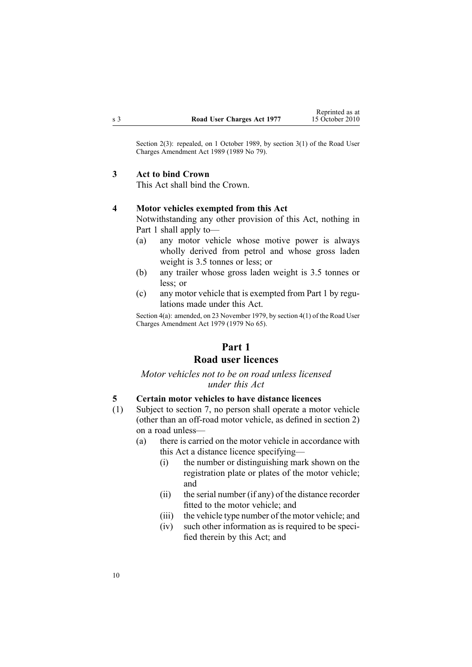<span id="page-9-0"></span>Section 2(3): repealed, on 1 October 1989, by section 3(1) of the Road User Charges Amendment Act 1989 (1989 No 79).

#### **3 Act to bind Crown**

This Act shall bind the Crown.

#### **4 Motor vehicles exempted from this Act**

Notwithstanding any other provision of this Act, nothing in Part 1 shall apply to—

- (a) any motor vehicle whose motive power is always wholly derived from petrol and whose gross laden weight is 3.5 tonnes or less; or
- (b) any trailer whose gross laden weight is 3.5 tonnes or less; or
- (c) any motor vehicle that is exempted from Part 1 by regulations made under this Act.

Section 4(a): amended, on 23 November 1979, by [section](http://www.legislation.govt.nz/pdflink.aspx?id=DLM34691) 4(1) of the Road User Charges Amendment Act 1979 (1979 No 65).

## **Part 1 Road user licences**

### *Motor vehicles not to be on road unless licensed under this Act*

#### **5 Certain motor vehicles to have distance licences**

- (1) Subject to [section](#page-11-0) 7, no person shall operate <sup>a</sup> motor vehicle (other than an off-road motor vehicle, as defined in [section](#page-3-0) 2) on <sup>a</sup> road unless—
	- (a) there is carried on the motor vehicle in accordance with this Act <sup>a</sup> distance licence specifying—
		- (i) the number or distinguishing mark shown on the registration plate or plates of the motor vehicle; and
		- (ii) the serial number (if any) of the distance recorder fitted to the motor vehicle; and
		- (iii) the vehicle type number of the motor vehicle; and
		- (iv) such other information as is required to be specified therein by this Act; and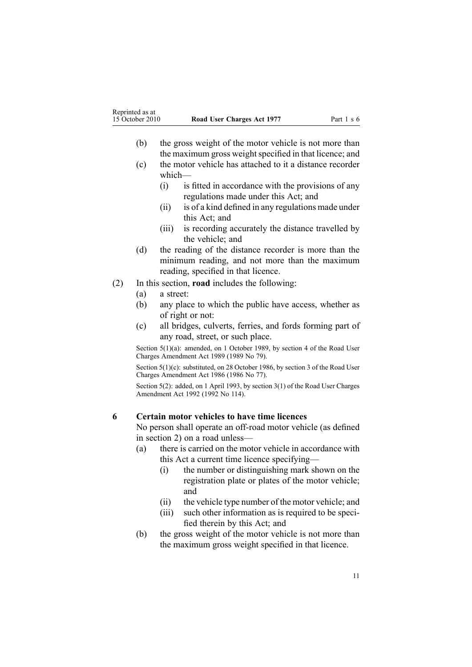- <span id="page-10-0"></span>(b) the gross weight of the motor vehicle is not more than the maximum gross weight specified in that licence; and
- (c) the motor vehicle has attached to it <sup>a</sup> distance recorder which—
	- (i) is fitted in accordance with the provisions of any regulations made under this Act; and
	- (ii) is of <sup>a</sup> kind defined in any regulations made under this Act; and
	- (iii) is recording accurately the distance travelled by the vehicle; and
- (d) the reading of the distance recorder is more than the minimum reading, and not more than the maximum reading, specified in that licence.
- (2) In this section, **road** includes the following:
	- (a) <sup>a</sup> street:
	- (b) any place to which the public have access, whether as of right or not:
	- (c) all bridges, culverts, ferries, and fords forming par<sup>t</sup> of any road, street, or such place.

Section 5(1)(a): amended, on 1 October 1989, by section 4 of the Road User Charges Amendment Act 1989 (1989 No 79).

Section 5(1)(c): substituted, on 28 October 1986, by section 3 of the Road User Charges Amendment Act 1986 (1986 No 77).

Section 5(2): added, on 1 April 1993, by section 3(1) of the Road User Charges Amendment Act 1992 (1992 No 114).

#### **6 Certain motor vehicles to have time licences**

No person shall operate an off-road motor vehicle (as defined in [section](#page-3-0) 2) on <sup>a</sup> road unless—

- (a) there is carried on the motor vehicle in accordance with this Act <sup>a</sup> current time licence specifying—
	- (i) the number or distinguishing mark shown on the registration plate or plates of the motor vehicle; and
	- (ii) the vehicle type number of the motor vehicle; and
	- (iii) such other information as is required to be specified therein by this Act; and
- (b) the gross weight of the motor vehicle is not more than the maximum gross weight specified in that licence.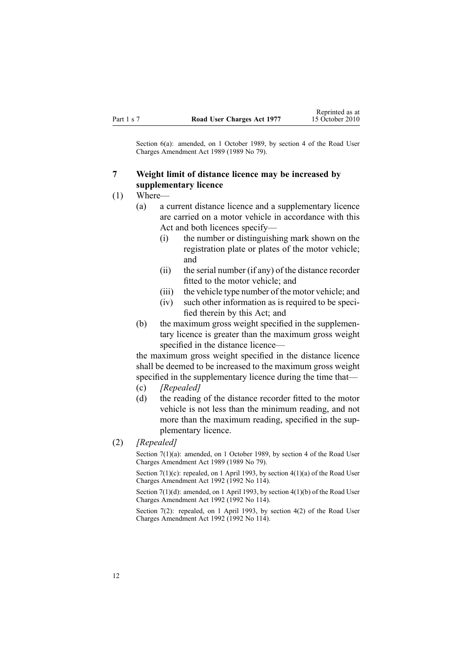<span id="page-11-0"></span>Section 6(a): amended, on 1 October 1989, by section 4 of the Road User Charges Amendment Act 1989 (1989 No 79).

### **7 Weight limit of distance licence may be increased by supplementary licence**

- (1) Where—
	- (a) <sup>a</sup> current distance licence and <sup>a</sup> supplementary licence are carried on <sup>a</sup> motor vehicle in accordance with this Act and both licences specify—
		- (i) the number or distinguishing mark shown on the registration plate or plates of the motor vehicle; and
		- (ii) the serial number (if any) of the distance recorder fitted to the motor vehicle; and
		- (iii) the vehicle type number of the motor vehicle; and
		- (iv) such other information as is required to be specified therein by this Act; and
	- (b) the maximum gross weight specified in the supplementary licence is greater than the maximum gross weight specified in the distance licence—

the maximum gross weight specified in the distance licence shall be deemed to be increased to the maximum gross weight specified in the supplementary licence during the time that— (c) *[Repealed]*

- 
- (d) the reading of the distance recorder fitted to the motor vehicle is not less than the minimum reading, and not more than the maximum reading, specified in the supplementary licence.
- (2) *[Repealed]*

Section 7(1)(a): amended, on 1 October 1989, by section 4 of the Road User Charges Amendment Act 1989 (1989 No 79).

Section  $7(1)(c)$ : repealed, on 1 April 1993, by section  $4(1)(a)$  of the Road User Charges Amendment Act 1992 (1992 No 114).

Section 7(1)(d): amended, on 1 April 1993, by section 4(1)(b) of the Road User Charges Amendment Act 1992 (1992 No 114).

Section 7(2): repealed, on 1 April 1993, by section 4(2) of the Road User Charges Amendment Act 1992 (1992 No 114).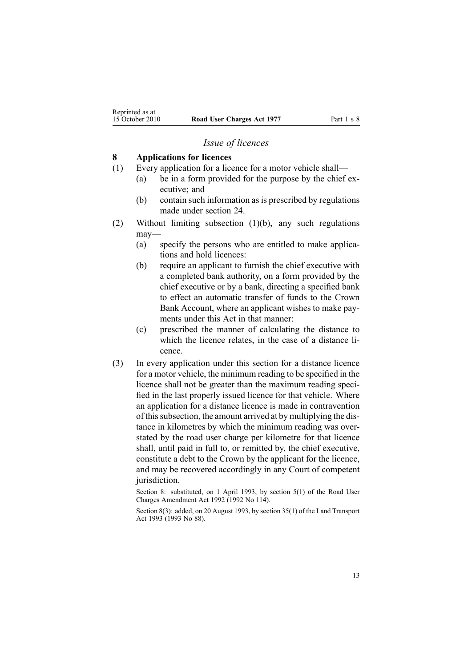#### *Issue of licences*

#### <span id="page-12-0"></span>**8 Applications for licences**

- (1) Every application for <sup>a</sup> licence for <sup>a</sup> motor vehicle shall—
	- (a) be in <sup>a</sup> form provided for the purpose by the chief executive; and
	- (b) contain such information as is prescribed by regulations made under [section](#page-42-0) 24.
- (2) Without limiting subsection (1)(b), any such regulations may—
	- (a) specify the persons who are entitled to make applications and hold licences:
	- (b) require an applicant to furnish the chief executive with <sup>a</sup> completed bank authority, on <sup>a</sup> form provided by the chief executive or by <sup>a</sup> bank, directing <sup>a</sup> specified bank to effect an automatic transfer of funds to the Crown Bank Account, where an applicant wishes to make payments under this Act in that manner:
	- (c) prescribed the manner of calculating the distance to which the licence relates, in the case of <sup>a</sup> distance licence.
- (3) In every application under this section for <sup>a</sup> distance licence for <sup>a</sup> motor vehicle, the minimum reading to be specified in the licence shall not be greater than the maximum reading specified in the last properly issued licence for that vehicle. Where an application for <sup>a</sup> distance licence is made in contravention of thissubsection, the amount arrived at by multiplying the distance in kilometres by which the minimum reading was overstated by the road user charge per kilometre for that licence shall, until paid in full to, or remitted by, the chief executive, constitute <sup>a</sup> debt to the Crown by the applicant for the licence, and may be recovered accordingly in any Court of competent jurisdiction.

Section 8: substituted, on 1 April 1993, by section 5(1) of the Road User Charges Amendment Act 1992 (1992 No 114).

Section 8(3): added, on 20 August 1993, by section 35(1) of the Land Transport Act 1993 (1993 No 88).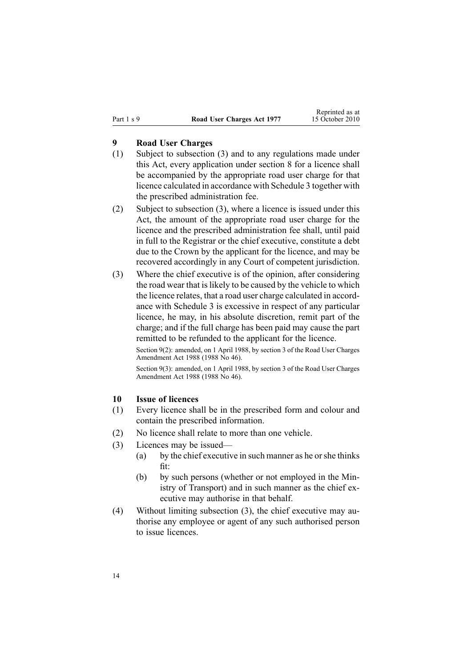## <span id="page-13-0"></span>**9 Road User Charges**

- (1) Subject to subsection (3) and to any regulations made under this Act, every application under [section](#page-12-0) 8 for <sup>a</sup> licence shall be accompanied by the appropriate road user charge for that licence calculated in accordance with [Schedule](#page-50-0) 3 together with the prescribed administration fee.
- (2) Subject to subsection (3), where <sup>a</sup> licence is issued under this Act, the amount of the appropriate road user charge for the licence and the prescribed administration fee shall, until paid in full to the Registrar or the chief executive, constitute <sup>a</sup> debt due to the Crown by the applicant for the licence, and may be recovered accordingly in any Court of competent jurisdiction.
- (3) Where the chief executive is of the opinion, after considering the road wear that is likely to be caused by the vehicle to which the licence relates, that <sup>a</sup> road user charge calculated in accordance with [Schedule](#page-50-0) 3 is excessive in respec<sup>t</sup> of any particular licence, he may, in his absolute discretion, remit par<sup>t</sup> of the charge; and if the full charge has been paid may cause the par<sup>t</sup> remitted to be refunded to the applicant for the licence.

Section 9(2): amended, on 1 April 1988, by section 3 of the Road User Charges Amendment Act 1988 (1988 No 46).

Section 9(3): amended, on 1 April 1988, by section 3 of the Road User Charges Amendment Act 1988 (1988 No 46).

#### **10 Issue of licences**

- (1) Every licence shall be in the prescribed form and colour and contain the prescribed information.
- (2) No licence shall relate to more than one vehicle.
- (3) Licences may be issued—
	- (a) by the chief executive in such manner as he orshe thinks fit:
	- (b) by such persons (whether or not employed in the Ministry of Transport) and in such manner as the chief executive may authorise in that behalf.
- (4) Without limiting subsection (3), the chief executive may authorise any employee or agen<sup>t</sup> of any such authorised person to issue licences.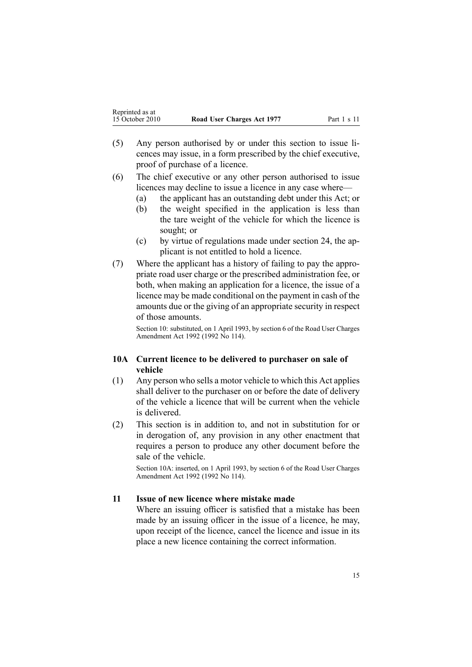- <span id="page-14-0"></span>(5) Any person authorised by or under this section to issue licences may issue, in <sup>a</sup> form prescribed by the chief executive, proof of purchase of <sup>a</sup> licence.
- (6) The chief executive or any other person authorised to issue licences may decline to issue <sup>a</sup> licence in any case where—
	- (a) the applicant has an outstanding debt under this Act; or
	- (b) the weight specified in the application is less than the tare weight of the vehicle for which the licence is sought; or
	- (c) by virtue of regulations made under [section](#page-42-0) 24, the applicant is not entitled to hold <sup>a</sup> licence.
- (7) Where the applicant has <sup>a</sup> history of failing to pay the appropriate road user charge or the prescribed administration fee, or both, when making an application for <sup>a</sup> licence, the issue of <sup>a</sup> licence may be made conditional on the paymen<sup>t</sup> in cash of the amounts due or the giving of an appropriate security in respec<sup>t</sup> of those amounts.

Section 10: substituted, on 1 April 1993, by section 6 of the Road User Charges Amendment Act 1992 (1992 No 114).

### **10A Current licence to be delivered to purchaser on sale of vehicle**

- (1) Any person who sells <sup>a</sup> motor vehicle to which this Act applies shall deliver to the purchaser on or before the date of delivery of the vehicle <sup>a</sup> licence that will be current when the vehicle is delivered.
- (2) This section is in addition to, and not in substitution for or in derogation of, any provision in any other enactment that requires <sup>a</sup> person to produce any other document before the sale of the vehicle.

Section 10A: inserted, on 1 April 1993, by section 6 of the Road User Charges Amendment Act 1992 (1992 No 114).

### **11 Issue of new licence where mistake made**

Where an issuing officer is satisfied that <sup>a</sup> mistake has been made by an issuing officer in the issue of <sup>a</sup> licence, he may, upon receipt of the licence, cancel the licence and issue in its place <sup>a</sup> new licence containing the correct information.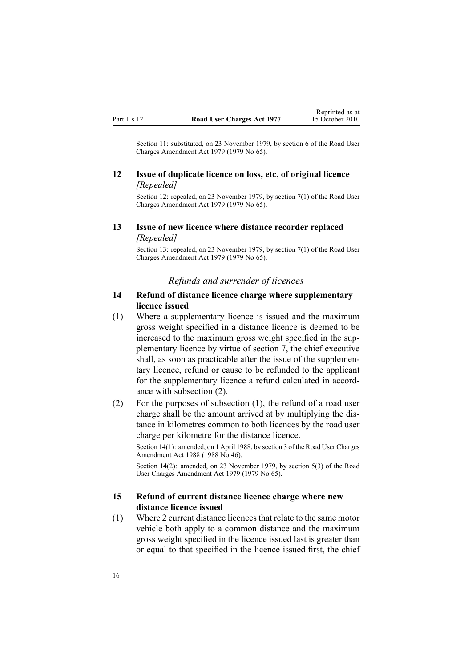<span id="page-15-0"></span>Section 11: substituted, on 23 November 1979, by [section](http://www.legislation.govt.nz/pdflink.aspx?id=DLM34696) 6 of the Road User Charges Amendment Act 1979 (1979 No 65).

### **12 Issue of duplicate licence on loss, etc, of original licence** *[Repealed]*

Section 12: repealed, on 23 November 1979, by [section](http://www.legislation.govt.nz/pdflink.aspx?id=DLM34697) 7(1) of the Road User Charges Amendment Act 1979 (1979 No 65).

### **13 Issue of new licence where distance recorder replaced** *[Repealed]*

Section 13: repealed, on 23 November 1979, by [section](http://www.legislation.govt.nz/pdflink.aspx?id=DLM34697) 7(1) of the Road User Charges Amendment Act 1979 (1979 No 65).

#### *Refunds and surrender of licences*

#### **14 Refund of distance licence charge where supplementary licence issued**

(1) Where <sup>a</sup> supplementary licence is issued and the maximum gross weight specified in <sup>a</sup> distance licence is deemed to be increased to the maximum gross weight specified in the supplementary licence by virtue of [section](#page-11-0) 7, the chief executive shall, as soon as practicable after the issue of the supplementary licence, refund or cause to be refunded to the applicant for the supplementary licence <sup>a</sup> refund calculated in accordance with subsection (2).

(2) For the purposes of subsection (1), the refund of <sup>a</sup> road user charge shall be the amount arrived at by multiplying the distance in kilometres common to both licences by the road user charge per kilometre for the distance licence.

Section 14(1): amended, on 1 April 1988, by section 3 of the Road User Charges Amendment Act 1988 (1988 No 46).

Section 14(2): amended, on 23 November 1979, by [section](http://www.legislation.govt.nz/pdflink.aspx?id=DLM34693) 5(3) of the Road User Charges Amendment Act 1979 (1979 No 65).

#### **15 Refund of current distance licence charge where new distance licence issued**

(1) Where 2 current distance licencesthat relate to the same motor vehicle both apply to <sup>a</sup> common distance and the maximum gross weight specified in the licence issued last is greater than or equal to that specified in the licence issued first, the chief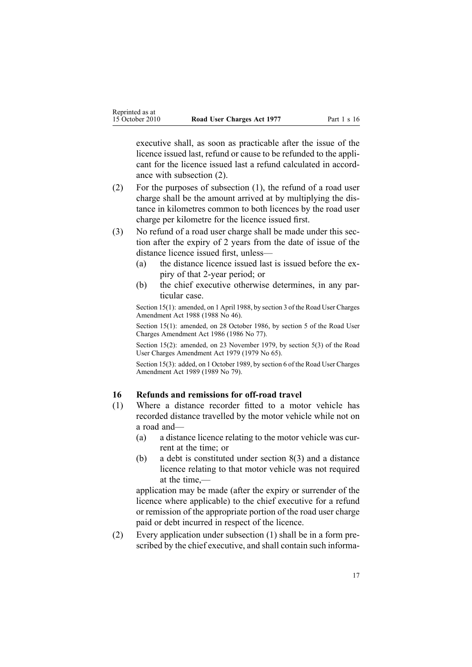<span id="page-16-0"></span>executive shall, as soon as practicable after the issue of the licence issued last, refund or cause to be refunded to the applicant for the licence issued last <sup>a</sup> refund calculated in accordance with subsection (2).

- (2) For the purposes of subsection (1), the refund of <sup>a</sup> road user charge shall be the amount arrived at by multiplying the distance in kilometres common to both licences by the road user charge per kilometre for the licence issued first.
- (3) No refund of <sup>a</sup> road user charge shall be made under this section after the expiry of 2 years from the date of issue of the distance licence issued first, unless—
	- (a) the distance licence issued last is issued before the expiry of that 2-year period; or
	- (b) the chief executive otherwise determines, in any particular case.

Section 15(1): amended, on 1 April 1988, by section 3 of the Road User Charges Amendment Act 1988 (1988 No 46).

Section 15(1): amended, on 28 October 1986, by section 5 of the Road User Charges Amendment Act 1986 (1986 No 77).

Section 15(2): amended, on 23 November 1979, by [section](http://www.legislation.govt.nz/pdflink.aspx?id=DLM34693) 5(3) of the Road User Charges Amendment Act 1979 (1979 No 65).

Section 15(3): added, on 1 October 1989, by section 6 of the Road User Charges Amendment Act 1989 (1989 No 79).

## **16 Refunds and remissions for off-road travel**

- (1) Where <sup>a</sup> distance recorder fitted to <sup>a</sup> motor vehicle has recorded distance travelled by the motor vehicle while not on <sup>a</sup> road and—
	- (a) <sup>a</sup> distance licence relating to the motor vehicle was current at the time; or
	- (b) <sup>a</sup> debt is constituted under [section](#page-12-0) 8(3) and <sup>a</sup> distance licence relating to that motor vehicle was not required at the time,—

application may be made (after the expiry or surrender of the licence where applicable) to the chief executive for <sup>a</sup> refund or remission of the appropriate portion of the road user charge paid or debt incurred in respec<sup>t</sup> of the licence.

(2) Every application under subsection (1) shall be in <sup>a</sup> form prescribed by the chief executive, and shall contain such informa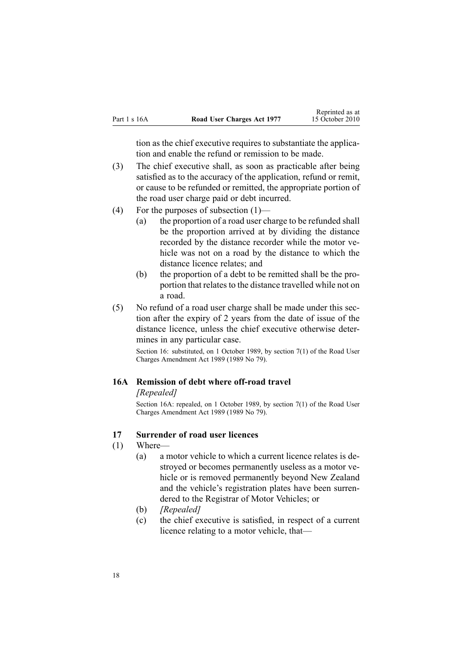<span id="page-17-0"></span>tion as the chief executive requires to substantiate the application and enable the refund or remission to be made.

- (3) The chief executive shall, as soon as practicable after being satisfied as to the accuracy of the application, refund or remit, or cause to be refunded or remitted, the appropriate portion of the road user charge paid or debt incurred.
- (4) For the purposes of subsection (1)—
	- (a) the proportion of <sup>a</sup> road user charge to be refunded shall be the proportion arrived at by dividing the distance recorded by the distance recorder while the motor vehicle was not on <sup>a</sup> road by the distance to which the distance licence relates; and
	- (b) the proportion of <sup>a</sup> debt to be remitted shall be the proportion that relates to the distance travelled while not on <sup>a</sup> road.
- (5) No refund of <sup>a</sup> road user charge shall be made under this section after the expiry of 2 years from the date of issue of the distance licence, unless the chief executive otherwise determines in any particular case.

Section 16: substituted, on 1 October 1989, by section 7(1) of the Road User Charges Amendment Act 1989 (1989 No 79).

#### **16A Remission of debt where off-road travel**

#### *[Repealed]*

Section 16A: repealed, on 1 October 1989, by section 7(1) of the Road User Charges Amendment Act 1989 (1989 No 79).

#### **17 Surrender of road user licences**

- (1) Where—
	- (a) <sup>a</sup> motor vehicle to which <sup>a</sup> current licence relates is destroyed or becomes permanently useless as <sup>a</sup> motor vehicle or is removed permanently beyond New Zealand and the vehicle's registration plates have been surrendered to the Registrar of Motor Vehicles; or
	- (b) *[Repealed]*
	- (c) the chief executive is satisfied, in respec<sup>t</sup> of <sup>a</sup> current licence relating to <sup>a</sup> motor vehicle, that—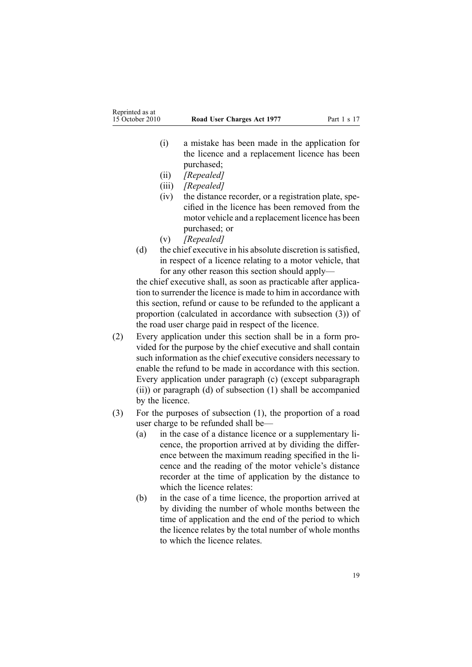- (i) <sup>a</sup> mistake has been made in the application for the licence and <sup>a</sup> replacement licence has been purchased;
- (ii) *[Repealed]*
- (iii) *[Repealed]*
- (iv) the distance recorder, or <sup>a</sup> registration plate, specified in the licence has been removed from the motor vehicle and <sup>a</sup> replacement licence has been purchased; or
- (v) *[Repealed]*
- (d) the chief executive in his absolute discretion is satisfied, in respec<sup>t</sup> of <sup>a</sup> licence relating to <sup>a</sup> motor vehicle, that for any other reason this section should apply—

the chief executive shall, as soon as practicable after application to surrender the licence is made to him in accordance with this section, refund or cause to be refunded to the applicant <sup>a</sup> proportion (calculated in accordance with subsection (3)) of the road user charge paid in respec<sup>t</sup> of the licence.

- (2) Every application under this section shall be in <sup>a</sup> form provided for the purpose by the chief executive and shall contain such information as the chief executive considers necessary to enable the refund to be made in accordance with this section. Every application under paragraph (c) (except subparagraph (ii)) or paragraph (d) of subsection (1) shall be accompanied by the licence.
- (3) For the purposes of subsection (1), the proportion of <sup>a</sup> road user charge to be refunded shall be—
	- (a) in the case of <sup>a</sup> distance licence or <sup>a</sup> supplementary licence, the proportion arrived at by dividing the difference between the maximum reading specified in the licence and the reading of the motor vehicle's distance recorder at the time of application by the distance to which the licence relates:
	- (b) in the case of <sup>a</sup> time licence, the proportion arrived at by dividing the number of whole months between the time of application and the end of the period to which the licence relates by the total number of whole months to which the licence relates.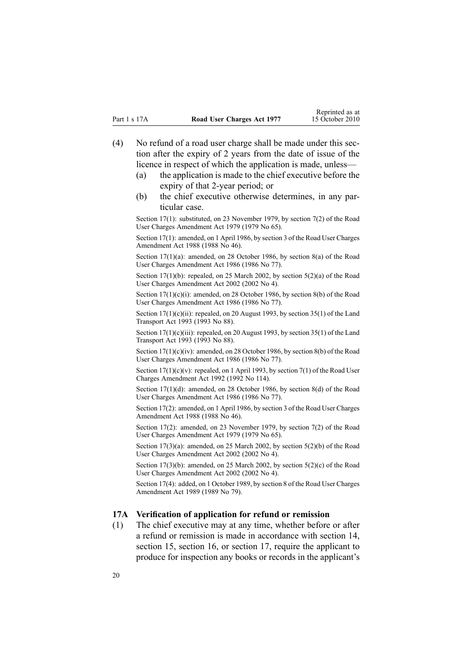- <span id="page-19-0"></span>(4) No refund of <sup>a</sup> road user charge shall be made under this section after the expiry of 2 years from the date of issue of the licence in respec<sup>t</sup> of which the application is made, unless—
	- (a) the application is made to the chief executive before the expiry of that 2-year period; or
	- (b) the chief executive otherwise determines, in any particular case.

Section 17(1): substituted, on 23 November 1979, by [section](http://www.legislation.govt.nz/pdflink.aspx?id=DLM34697) 7(2) of the Road User Charges Amendment Act 1979 (1979 No 65).

Section 17(1): amended, on 1 April 1986, by section 3 of the Road User Charges Amendment Act 1988 (1988 No 46).

Section 17(1)(a): amended, on 28 October 1986, by section 8(a) of the Road User Charges Amendment Act 1986 (1986 No 77).

Section 17(1)(b): repealed, on 25 March 2002, by section [5\(2\)\(a\)](http://www.legislation.govt.nz/pdflink.aspx?id=DLM131348) of the Road User Charges Amendment Act 2002 (2002 No 4).

Section 17(1)(c)(i): amended, on 28 October 1986, by section 8(b) of the Road User Charges Amendment Act 1986 (1986 No 77).

Section 17(1)(c)(ii): repealed, on 20 August 1993, by section 35(1) of the Land Transport Act 1993 (1993 No 88).

Section  $17(1)(c)(iii)$ : repealed, on 20 August 1993, by section 35(1) of the Land Transport Act 1993 (1993 No 88).

Section 17(1)(c)(iv): amended, on 28 October 1986, by section 8(b) of the Road User Charges Amendment Act 1986 (1986 No 77).

Section  $17(1)(c)(v)$ : repealed, on 1 April 1993, by section  $7(1)$  of the Road User Charges Amendment Act 1992 (1992 No 114).

Section 17(1)(d): amended, on 28 October 1986, by section 8(d) of the Road User Charges Amendment Act 1986 (1986 No 77).

Section 17(2): amended, on 1 April 1986, by section 3 of the Road User Charges Amendment Act 1988 (1988 No 46).

Section 17(2): amended, on 23 November 1979, by [section](http://www.legislation.govt.nz/pdflink.aspx?id=DLM34697) 7(2) of the Road User Charges Amendment Act 1979 (1979 No 65).

Section  $17(3)(a)$ : amended, on 25 March 2002, by section  $5(2)(b)$  of the Road User Charges Amendment Act 2002 (2002 No 4).

Section 17(3)(b): amended, on 25 March 2002, by section  $5(2)(c)$  of the Road User Charges Amendment Act 2002 (2002 No 4).

Section 17(4): added, on 1 October 1989, by section 8 of the Road User Charges Amendment Act 1989 (1989 No 79).

#### **17A Verification of application for refund or remission**

(1) The chief executive may at any time, whether before or after <sup>a</sup> refund or remission is made in accordance with [section](#page-15-0) 14, [section](#page-17-0) 15, section 16, or section 17, require the applicant to produce for inspection any books or records in the applicant's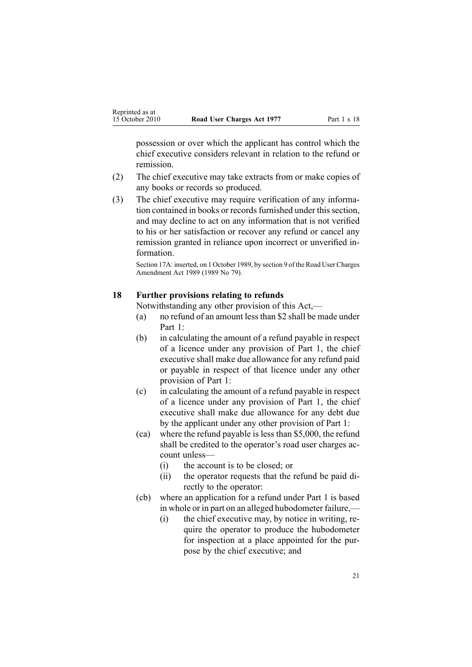<span id="page-20-0"></span>possession or over which the applicant has control which the chief executive considers relevant in relation to the refund or remission.

- (2) The chief executive may take extracts from or make copies of any books or records so produced.
- (3) The chief executive may require verification of any information contained in books or records furnished under this section, and may decline to act on any information that is not verified to his or her satisfaction or recover any refund or cancel any remission granted in reliance upon incorrect or unverified information.

Section 17A: inserted, on 1 October 1989, by section 9 of the Road User Charges Amendment Act 1989 (1989 No 79).

#### **18 Further provisions relating to refunds**

Notwithstanding any other provision of this Act,—

- (a) no refund of an amount lessthan \$2 shall be made under [Part](#page-9-0) 1:
- (b) in calculating the amount of <sup>a</sup> refund payable in respec<sup>t</sup> of <sup>a</sup> licence under any provision of [Part](#page-9-0) 1, the chief executive shall make due allowance for any refund paid or payable in respec<sup>t</sup> of that licence under any other provision of Part 1:
- (c) in calculating the amount of <sup>a</sup> refund payable in respec<sup>t</sup> of <sup>a</sup> licence under any provision of [Part](#page-9-0) 1, the chief executive shall make due allowance for any debt due by the applicant under any other provision of Part 1:
- (ca) where the refund payable is less than \$5,000, the refund shall be credited to the operator's road user charges account unless—
	- (i) the account is to be closed; or
	- (ii) the operator requests that the refund be paid directly to the operator:
- (cb) where an application for <sup>a</sup> refund under [Part](#page-9-0) 1 is based in whole or in par<sup>t</sup> on an alleged hubodometer failure,—
	- (i) the chief executive may, by notice in writing, require the operator to produce the hubodometer for inspection at <sup>a</sup> place appointed for the purpose by the chief executive; and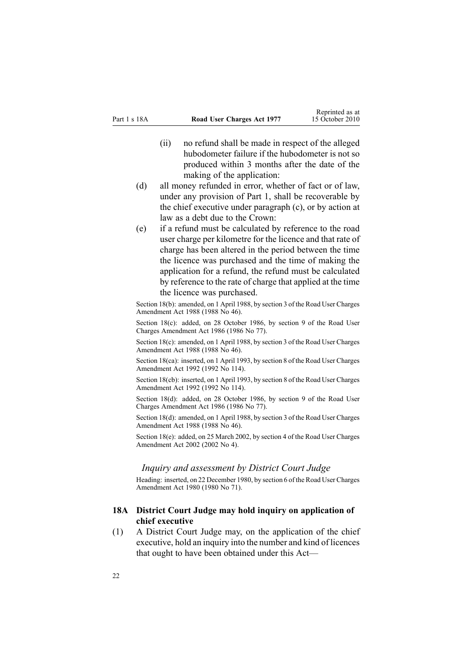- <span id="page-21-0"></span>(ii) no refund shall be made in respec<sup>t</sup> of the alleged hubodometer failure if the hubodometer is not so produced within 3 months after the date of the making of the application:
- (d) all money refunded in error, whether of fact or of law, under any provision of [Part](#page-9-0) 1, shall be recoverable by the chief executive under paragraph (c), or by action at law as <sup>a</sup> debt due to the Crown:
- (e) if <sup>a</sup> refund must be calculated by reference to the road user charge per kilometre for the licence and that rate of charge has been altered in the period between the time the licence was purchased and the time of making the application for <sup>a</sup> refund, the refund must be calculated by reference to the rate of charge that applied at the time the licence was purchased.

Section 18(b): amended, on 1 April 1988, by section 3 of the Road User Charges Amendment Act 1988 (1988 No 46).

Section 18(c): added, on 28 October 1986, by section 9 of the Road User Charges Amendment Act 1986 (1986 No 77).

Section 18(c): amended, on 1 April 1988, by section 3 of the Road User Charges Amendment Act 1988 (1988 No 46).

Section 18(ca): inserted, on 1 April 1993, by section 8 of the Road User Charges Amendment Act 1992 (1992 No 114).

Section 18(cb): inserted, on 1 April 1993, by section 8 of the Road User Charges Amendment Act 1992 (1992 No 114).

Section 18(d): added, on 28 October 1986, by section 9 of the Road User Charges Amendment Act 1986 (1986 No 77).

Section 18(d): amended, on 1 April 1988, by section 3 of the Road User Charges Amendment Act 1988 (1988 No 46).

Section 18(e): added, on 25 March 2002, by [section](http://www.legislation.govt.nz/pdflink.aspx?id=DLM131347) 4 of the Road User Charges Amendment Act 2002 (2002 No 4).

#### *Inquiry and assessment by District Court Judge*

Heading: inserted, on 22 December 1980, by [section](http://www.legislation.govt.nz/pdflink.aspx?id=DLM38570) 6 of the Road User Charges Amendment Act 1980 (1980 No 71).

### **18A District Court Judge may hold inquiry on application of chief executive**

(1) A District Court Judge may, on the application of the chief executive, hold an inquiry into the number and kind of licences that ought to have been obtained under this Act—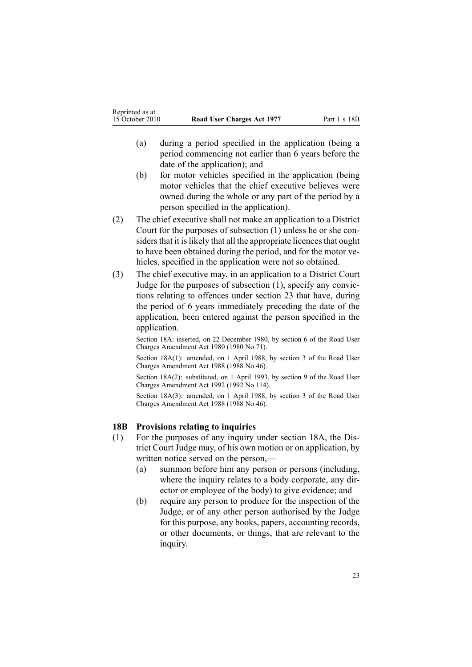- <span id="page-22-0"></span>(a) during <sup>a</sup> period specified in the application (being <sup>a</sup> period commencing not earlier than 6 years before the date of the application); and
- (b) for motor vehicles specified in the application (being motor vehicles that the chief executive believes were owned during the whole or any par<sup>t</sup> of the period by <sup>a</sup> person specified in the application).
- (2) The chief executive shall not make an application to <sup>a</sup> District Court for the purposes of subsection (1) unless he or she considers that it is likely that all the appropriate licences that ought to have been obtained during the period, and for the motor vehicles, specified in the application were not so obtained.
- (3) The chief executive may, in an application to <sup>a</sup> District Court Judge for the purposes of subsection (1), specify any convictions relating to offences under [section](#page-32-0) 23 that have, during the period of 6 years immediately preceding the date of the application, been entered against the person specified in the application.

Section 18A: inserted, on 22 December 1980, by [section](http://www.legislation.govt.nz/pdflink.aspx?id=DLM38570) 6 of the Road User Charges Amendment Act 1980 (1980 No 71).

Section 18A(1): amended, on 1 April 1988, by section 3 of the Road User Charges Amendment Act 1988 (1988 No 46).

Section 18A(2): substituted, on 1 April 1993, by section 9 of the Road User Charges Amendment Act 1992 (1992 No 114).

Section 18A(3): amended, on 1 April 1988, by section 3 of the Road User Charges Amendment Act 1988 (1988 No 46).

#### **18B Provisions relating to inquiries**

- (1) For the purposes of any inquiry under [section](#page-21-0) 18A, the District Court Judge may, of his own motion or on application, by written notice served on the person,—
	- (a) summon before him any person or persons (including, where the inquiry relates to <sup>a</sup> body corporate, any director or employee of the body) to give evidence; and
	- (b) require any person to produce for the inspection of the Judge, or of any other person authorised by the Judge for this purpose, any books, papers, accounting records, or other documents, or things, that are relevant to the inquiry.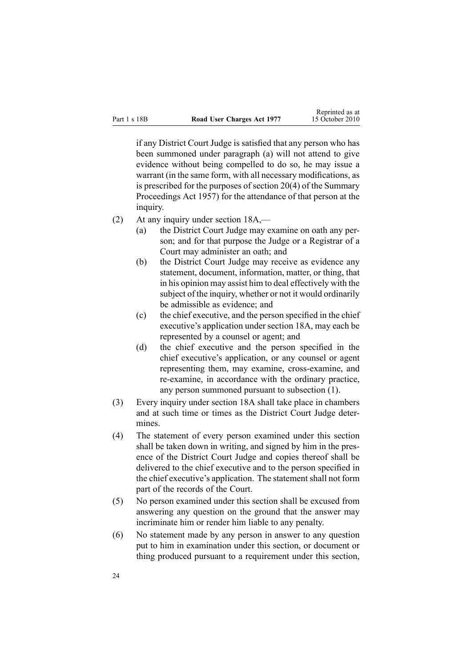if any District Court Judge is satisfied that any person who has been summoned under paragraph (a) will not attend to give evidence without being compelled to do so, he may issue <sup>a</sup> warrant (in the same form, with all necessary modifications, as is prescribed for the purposes of [section](http://www.legislation.govt.nz/pdflink.aspx?id=DLM311316) 20(4) of the Summary Proceedings Act 1957) for the attendance of that person at the inquiry.

- (2) At any inquiry under [section](#page-21-0) 18A,—
	- (a) the District Court Judge may examine on oath any person; and for that purpose the Judge or <sup>a</sup> Registrar of <sup>a</sup> Court may administer an oath; and
	- (b) the District Court Judge may receive as evidence any statement, document, information, matter, or thing, that in his opinion may assist him to deal effectively with the subject of the inquiry, whether or not it would ordinarily be admissible as evidence; and
	- (c) the chief executive, and the person specified in the chief executive's application under [section](#page-21-0) 18A, may each be represented by <sup>a</sup> counsel or agent; and
	- (d) the chief executive and the person specified in the chief executive's application, or any counsel or agen<sup>t</sup> representing them, may examine, cross-examine, and re-examine, in accordance with the ordinary practice, any person summoned pursuan<sup>t</sup> to subsection (1).
- (3) Every inquiry under [section](#page-21-0) 18A shall take place in chambers and at such time or times as the District Court Judge determines.
- (4) The statement of every person examined under this section shall be taken down in writing, and signed by him in the presence of the District Court Judge and copies thereof shall be delivered to the chief executive and to the person specified in the chief executive's application. The statement shall not form par<sup>t</sup> of the records of the Court.
- (5) No person examined under this section shall be excused from answering any question on the ground that the answer may incriminate him or render him liable to any penalty.
- (6) No statement made by any person in answer to any question pu<sup>t</sup> to him in examination under this section, or document or thing produced pursuan<sup>t</sup> to <sup>a</sup> requirement under this section,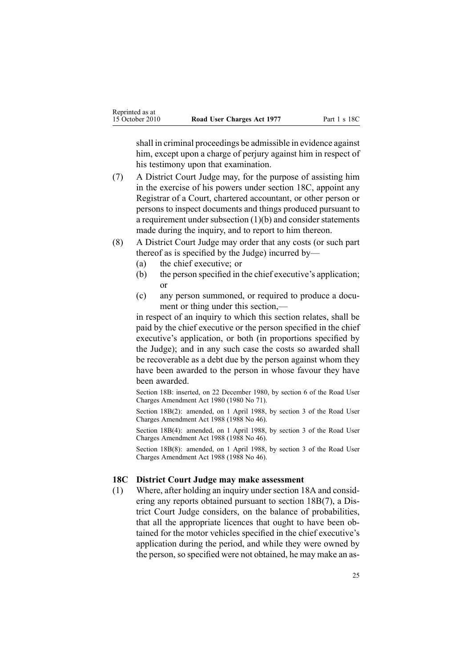<span id="page-24-0"></span>shall in criminal proceedings be admissible in evidence against him, except upon a charge of perjury against him in respect of his testimony upon that examination.

- (7) A District Court Judge may, for the purpose of assisting him in the exercise of his powers under section 18C, appoint any Registrar of <sup>a</sup> Court, chartered accountant, or other person or persons to inspect documents and things produced pursuan<sup>t</sup> to <sup>a</sup> requirement under subsection (1)(b) and consider statements made during the inquiry, and to report to him thereon.
- (8) A District Court Judge may order that any costs (or such par<sup>t</sup> thereof as is specified by the Judge) incurred by—
	- (a) the chief executive; or
	- (b) the person specified in the chief executive's application; or
	- (c) any person summoned, or required to produce <sup>a</sup> document or thing under this section,—

in respec<sup>t</sup> of an inquiry to which this section relates, shall be paid by the chief executive or the person specified in the chief executive's application, or both (in proportions specified by the Judge); and in any such case the costs so awarded shall be recoverable as <sup>a</sup> debt due by the person against whom they have been awarded to the person in whose favour they have been awarded.

Section 18B: inserted, on 22 December 1980, by [section](http://www.legislation.govt.nz/pdflink.aspx?id=DLM38570) 6 of the Road User Charges Amendment Act 1980 (1980 No 71).

Section 18B(2): amended, on 1 April 1988, by section 3 of the Road User Charges Amendment Act 1988 (1988 No 46).

Section 18B(4): amended, on 1 April 1988, by section 3 of the Road User Charges Amendment Act 1988 (1988 No 46).

Section 18B(8): amended, on 1 April 1988, by section 3 of the Road User Charges Amendment Act 1988 (1988 No 46).

#### **18C District Court Judge may make assessment**

(1) Where, after holding an inquiry unde[rsection](#page-21-0) 18A and considering any reports obtained pursuan<sup>t</sup> to section [18B\(7\)](#page-22-0), <sup>a</sup> District Court Judge considers, on the balance of probabilities, that all the appropriate licences that ought to have been obtained for the motor vehicles specified in the chief executive's application during the period, and while they were owned by the person, so specified were not obtained, he may make an as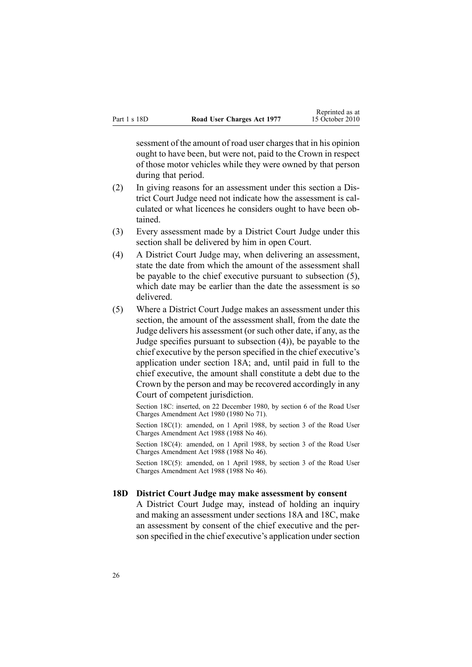<span id="page-25-0"></span>sessment of the amount of road user charges that in his opinion ought to have been, but were not, paid to the Crown in respec<sup>t</sup> of those motor vehicles while they were owned by that person during that period.

- (2) In giving reasons for an assessment under this section <sup>a</sup> District Court Judge need not indicate how the assessment is calculated or what licences he considers ought to have been obtained.
- (3) Every assessment made by <sup>a</sup> District Court Judge under this section shall be delivered by him in open Court.
- (4) A District Court Judge may, when delivering an assessment, state the date from which the amount of the assessment shall be payable to the chief executive pursuan<sup>t</sup> to subsection (5), which date may be earlier than the date the assessment is so delivered.
- (5) Where <sup>a</sup> District Court Judge makes an assessment under this section, the amount of the assessment shall, from the date the Judge delivers his assessment (or such other date, if any, as the Judge specifies pursuan<sup>t</sup> to subsection (4)), be payable to the chief executive by the person specified in the chief executive's application under [section](#page-21-0) 18A; and, until paid in full to the chief executive, the amount shall constitute <sup>a</sup> debt due to the Crown by the person and may be recovered accordingly in any Court of competent jurisdiction.

Section 18C: inserted, on 22 December 1980, by [section](http://www.legislation.govt.nz/pdflink.aspx?id=DLM38570) 6 of the Road User Charges Amendment Act 1980 (1980 No 71).

Section 18C(1): amended, on 1 April 1988, by section 3 of the Road User Charges Amendment Act 1988 (1988 No 46).

Section 18C(4): amended, on 1 April 1988, by section 3 of the Road User Charges Amendment Act 1988 (1988 No 46).

Section 18C(5): amended, on 1 April 1988, by section 3 of the Road User Charges Amendment Act 1988 (1988 No 46).

#### **18D District Court Judge may make assessment by consent**

A District Court Judge may, instead of holding an inquiry and making an assessment under [sections](#page-21-0) 18A and [18C](#page-24-0), make an assessment by consent of the chief executive and the person specified in the chief executive's application under section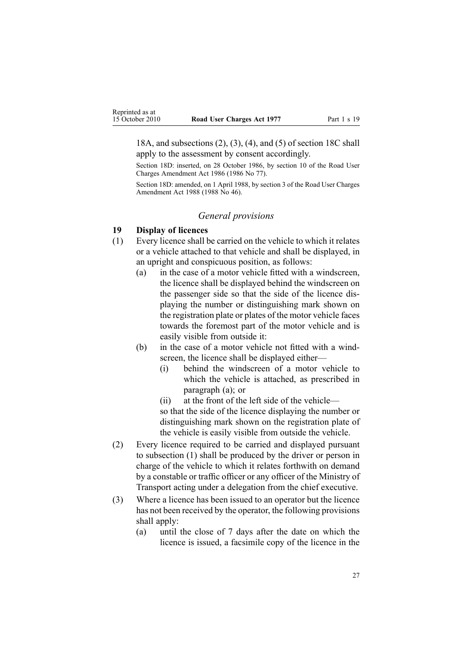<span id="page-26-0"></span>18A, and subsections (2), (3), (4), and (5) of section 18C shall apply to the assessment by consent accordingly.

Section 18D: inserted, on 28 October 1986, by section 10 of the Road User Charges Amendment Act 1986 (1986 No 77).

Section 18D: amended, on 1 April 1988, by section 3 of the Road User Charges Amendment Act 1988 (1988 No 46).

#### *General provisions*

### **19 Display of licences**

- (1) Every licence shall be carried on the vehicle to which it relates or <sup>a</sup> vehicle attached to that vehicle and shall be displayed, in an upright and conspicuous position, as follows:
	- (a) in the case of <sup>a</sup> motor vehicle fitted with <sup>a</sup> windscreen, the licence shall be displayed behind the windscreen on the passenger side so that the side of the licence displaying the number or distinguishing mark shown on the registration plate or plates of the motor vehicle faces towards the foremost par<sup>t</sup> of the motor vehicle and is easily visible from outside it:
	- (b) in the case of <sup>a</sup> motor vehicle not fitted with <sup>a</sup> windscreen, the licence shall be displayed either—
		- (i) behind the windscreen of <sup>a</sup> motor vehicle to which the vehicle is attached, as prescribed in paragraph (a); or
		- (ii) at the front of the left side of the vehicle—

so that the side of the licence displaying the number or distinguishing mark shown on the registration plate of the vehicle is easily visible from outside the vehicle.

- (2) Every licence required to be carried and displayed pursuan<sup>t</sup> to subsection (1) shall be produced by the driver or person in charge of the vehicle to which it relates forthwith on demand by <sup>a</sup> constable or traffic officer or any officer of the Ministry of Transport acting under <sup>a</sup> delegation from the chief executive.
- (3) Where <sup>a</sup> licence has been issued to an operator but the licence has not been received by the operator, the following provisions shall apply:
	- (a) until the close of 7 days after the date on which the licence is issued, <sup>a</sup> facsimile copy of the licence in the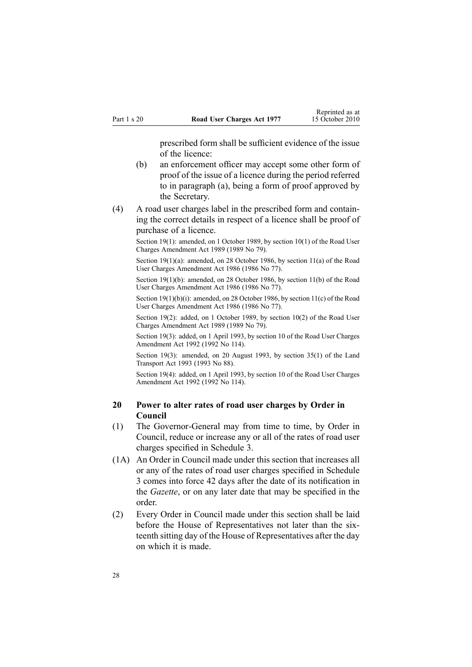prescribed form shall be sufficient evidence of the issue of the licence:

- <span id="page-27-0"></span>(b) an enforcement officer may accep<sup>t</sup> some other form of proof of the issue of <sup>a</sup> licence during the period referred to in paragraph (a), being <sup>a</sup> form of proof approved by the Secretary.
- (4) A road user charges label in the prescribed form and containing the correct details in respec<sup>t</sup> of <sup>a</sup> licence shall be proof of purchase of <sup>a</sup> licence.

Section 19(1): amended, on 1 October 1989, by section 10(1) of the Road User Charges Amendment Act 1989 (1989 No 79).

Section 19(1)(a): amended, on 28 October 1986, by section 11(a) of the Road User Charges Amendment Act 1986 (1986 No 77).

Section 19(1)(b): amended, on 28 October 1986, by section 11(b) of the Road User Charges Amendment Act 1986 (1986 No 77).

Section 19(1)(b)(i): amended, on 28 October 1986, by section 11(c) of the Road User Charges Amendment Act 1986 (1986 No 77).

Section 19(2): added, on 1 October 1989, by section 10(2) of the Road User Charges Amendment Act 1989 (1989 No 79).

Section 19(3): added, on 1 April 1993, by section 10 of the Road User Charges Amendment Act 1992 (1992 No 114).

Section 19(3): amended, on 20 August 1993, by section 35(1) of the Land Transport Act 1993 (1993 No 88).

Section 19(4): added, on 1 April 1993, by section 10 of the Road User Charges Amendment Act 1992 (1992 No 114).

## **20 Power to alter rates of road user charges by Order in Council**

- (1) The Governor-General may from time to time, by Order in Council, reduce or increase any or all of the rates of road user charges specified in [Schedule](#page-50-0) 3.
- (1A) An Order in Council made under this section that increases all or any of the rates of road user charges specified in [Schedule](#page-50-0) [3](#page-50-0) comes into force 42 days after the date of its notification in the *Gazette*, or on any later date that may be specified in the order.
- (2) Every Order in Council made under this section shall be laid before the House of Representatives not later than the sixteenth sitting day of the House of Representatives after the day on which it is made.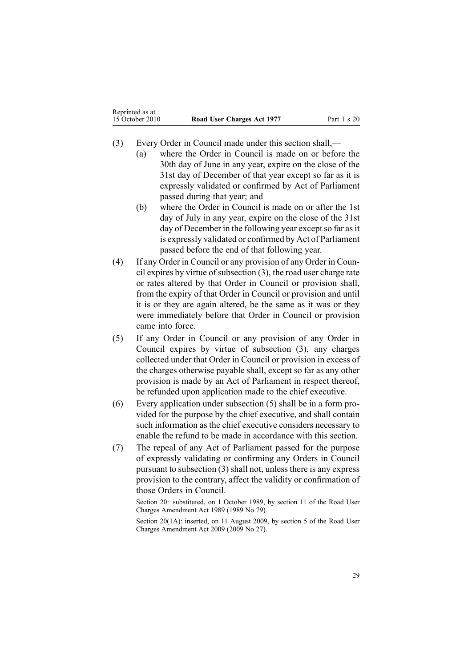- (3) Every Order in Council made under this section shall,—
	- (a) where the Order in Council is made on or before the 30th day of June in any year, expire on the close of the 31st day of December of that year excep<sup>t</sup> so far as it is expressly validated or confirmed by Act of Parliament passed during that year; and
	- (b) where the Order in Council is made on or after the 1st day of July in any year, expire on the close of the 31st day of December in the following year except so far as it is expressly validated or confirmed by Act of Parliament passed before the end of that following year.
- (4) If any Order in Council or any provision of any Order in Council expires by virtue of subsection  $(3)$ , the road user charge rate or rates altered by that Order in Council or provision shall, from the expiry of that Order in Council or provision and until it is or they are again altered, be the same as it was or they were immediately before that Order in Council or provision came into force.
- (5) If any Order in Council or any provision of any Order in Council expires by virtue of subsection (3), any charges collected under that Order in Council or provision in excess of the charges otherwise payable shall, excep<sup>t</sup> so far as any other provision is made by an Act of Parliament in respec<sup>t</sup> thereof, be refunded upon application made to the chief executive.
- (6) Every application under subsection (5) shall be in <sup>a</sup> form provided for the purpose by the chief executive, and shall contain such information as the chief executive considers necessary to enable the refund to be made in accordance with this section.
- (7) The repeal of any Act of Parliament passed for the purpose of expressly validating or confirming any Orders in Council pursuan<sup>t</sup> to subsection (3) shall not, unless there is any express provision to the contrary, affect the validity or confirmation of those Orders in Council.

Section 20: substituted, on 1 October 1989, by section 11 of the Road User Charges Amendment Act 1989 (1989 No 79).

Section 20(1A): inserted, on 11 August 2009, by [section](http://www.legislation.govt.nz/pdflink.aspx?id=DLM2172213) 5 of the Road User Charges Amendment Act 2009 (2009 No 27).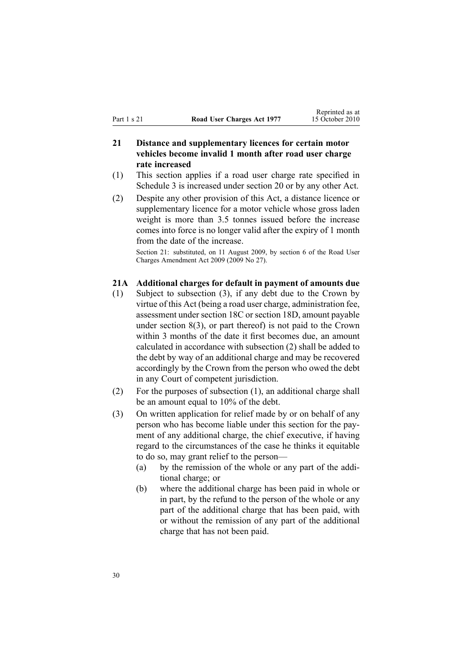## <span id="page-29-0"></span>**21 Distance and supplementary licences for certain motor vehicles become invalid 1 month after road user charge rate increased**

- (1) This section applies if <sup>a</sup> road user charge rate specified in [Schedule](#page-50-0) 3 is increased under [section](#page-27-0) 20 or by any other Act.
- (2) Despite any other provision of this Act, <sup>a</sup> distance licence or supplementary licence for <sup>a</sup> motor vehicle whose gross laden weight is more than 3.5 tonnes issued before the increase comes into force is no longer valid after the expiry of 1 month from the date of the increase.

Section 21: substituted, on 11 August 2009, by [section](http://www.legislation.govt.nz/pdflink.aspx?id=DLM2172214) 6 of the Road User Charges Amendment Act 2009 (2009 No 27).

#### **21A Additional charges for default in payment of amounts due**

- (1) Subject to subsection (3), if any debt due to the Crown by virtue of this Act (being <sup>a</sup> road user charge, administration fee, assessment under [section](#page-24-0) 18C or [section](#page-25-0) 18D, amount payable under [section](#page-12-0) 8(3), or par<sup>t</sup> thereof) is not paid to the Crown within 3 months of the date it first becomes due, an amount calculated in accordance with subsection (2) shall be added to the debt by way of an additional charge and may be recovered accordingly by the Crown from the person who owed the debt in any Court of competent jurisdiction.
- (2) For the purposes of subsection (1), an additional charge shall be an amount equal to 10% of the debt.
- (3) On written application for relief made by or on behalf of any person who has become liable under this section for the payment of any additional charge, the chief executive, if having regard to the circumstances of the case he thinks it equitable to do so, may gran<sup>t</sup> relief to the person—
	- (a) by the remission of the whole or any par<sup>t</sup> of the additional charge; or
	- (b) where the additional charge has been paid in whole or in part, by the refund to the person of the whole or any par<sup>t</sup> of the additional charge that has been paid, with or without the remission of any par<sup>t</sup> of the additional charge that has not been paid.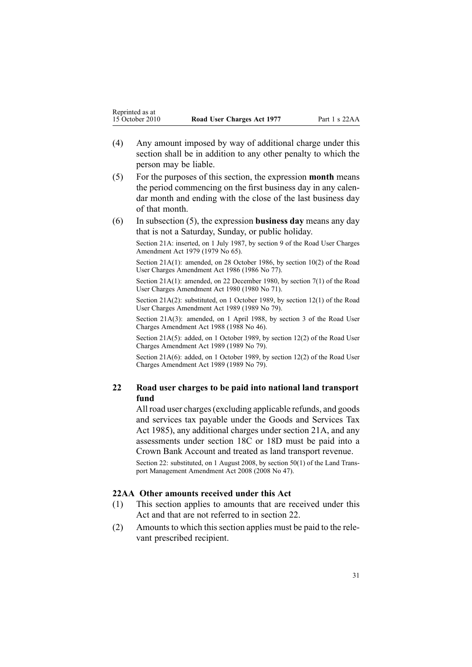- <span id="page-30-0"></span>(4) Any amount imposed by way of additional charge under this section shall be in addition to any other penalty to which the person may be liable.
- (5) For the purposes of this section, the expression **month** means the period commencing on the first business day in any calendar month and ending with the close of the last business day of that month.
- (6) In subsection (5), the expression **business day** means any day that is not <sup>a</sup> Saturday, Sunday, or public holiday.

Section 21A: inserted, on 1 July 1987, by [section](http://www.legislation.govt.nz/pdflink.aspx?id=DLM34699) 9 of the Road User Charges Amendment Act 1979 (1979 No 65).

Section 21A(1): amended, on 28 October 1986, by section 10(2) of the Road User Charges Amendment Act 1986 (1986 No 77).

Section 21A(1): amended, on 22 December 1980, by [section](http://www.legislation.govt.nz/pdflink.aspx?id=DLM38571) 7(1) of the Road User Charges Amendment Act 1980 (1980 No 71).

Section 21A(2): substituted, on 1 October 1989, by section 12(1) of the Road User Charges Amendment Act 1989 (1989 No 79).

Section 21A(3): amended, on 1 April 1988, by section 3 of the Road User Charges Amendment Act 1988 (1988 No 46).

Section 21A(5): added, on 1 October 1989, by section 12(2) of the Road User Charges Amendment Act 1989 (1989 No 79).

Section 21A(6): added, on 1 October 1989, by section 12(2) of the Road User Charges Amendment Act 1989 (1989 No 79).

## **22 Road user charges to be paid into national land transport fund**

All road user charges(excluding applicable refunds, and goods and services tax payable under the Goods and [Services](http://www.legislation.govt.nz/pdflink.aspx?id=DLM81034) Tax Act [1985](http://www.legislation.govt.nz/pdflink.aspx?id=DLM81034)), any additional charges under [section](#page-29-0) 21A, and any assessments under [section](#page-24-0) 18C or [18D](#page-25-0) must be paid into <sup>a</sup> Crown Bank Account and treated as land transport revenue.

Section 22: substituted, on 1 August 2008, by [section](http://www.legislation.govt.nz/pdflink.aspx?id=DLM1313622) 50(1) of the Land Transpor<sup>t</sup> Management Amendment Act 2008 (2008 No 47).

#### **22AA Other amounts received under this Act**

- (1) This section applies to amounts that are received under this Act and that are not referred to in section 22.
- (2) Amounts to which this section applies must be paid to the relevant prescribed recipient.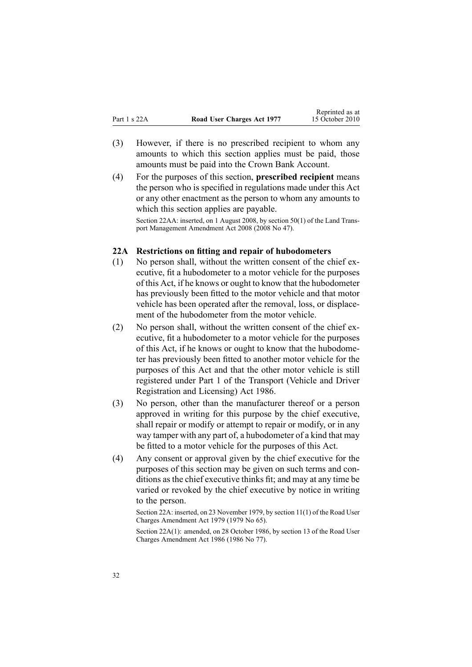- <span id="page-31-0"></span>(3) However, if there is no prescribed recipient to whom any amounts to which this section applies must be paid, those amounts must be paid into the Crown Bank Account.
- (4) For the purposes of this section, **prescribed recipient** means the person who is specified in regulations made under this Act or any other enactment as the person to whom any amounts to which this section applies are payable.

Section 22AA: inserted, on 1 August 2008, by [section](http://www.legislation.govt.nz/pdflink.aspx?id=DLM1313622) 50(1) of the Land Transpor<sup>t</sup> Management Amendment Act 2008 (2008 No 47).

#### **22A Restrictions on fitting and repair of hubodometers**

- (1) No person shall, without the written consent of the chief executive, fit <sup>a</sup> hubodometer to <sup>a</sup> motor vehicle for the purposes of this Act, if he knows or ought to know that the hubodometer has previously been fitted to the motor vehicle and that motor vehicle has been operated after the removal, loss, or displacement of the hubodometer from the motor vehicle.
- (2) No person shall, without the written consent of the chief executive, fit <sup>a</sup> hubodometer to <sup>a</sup> motor vehicle for the purposes of this Act, if he knows or ought to know that the hubodometer has previously been fitted to another motor vehicle for the purposes of this Act and that the other motor vehicle is still registered under [Part](http://www.legislation.govt.nz/pdflink.aspx?id=DLM91418) 1 of the Transport (Vehicle and Driver Registration and Licensing) Act 1986.
- (3) No person, other than the manufacturer thereof or <sup>a</sup> person approved in writing for this purpose by the chief executive, shall repair or modify or attempt to repair or modify, or in any way tamper with any par<sup>t</sup> of, <sup>a</sup> hubodometer of <sup>a</sup> kind that may be fitted to <sup>a</sup> motor vehicle for the purposes of this Act.
- (4) Any consent or approval given by the chief executive for the purposes of this section may be given on such terms and conditions as the chief executive thinks fit; and may at any time be varied or revoked by the chief executive by notice in writing to the person.

Section 22A: inserted, on 23 November 1979, by [section](http://www.legislation.govt.nz/pdflink.aspx?id=DLM35001) 11(1) of the Road User Charges Amendment Act 1979 (1979 No 65).

Section 22A(1): amended, on 28 October 1986, by section 13 of the Road User Charges Amendment Act 1986 (1986 No 77).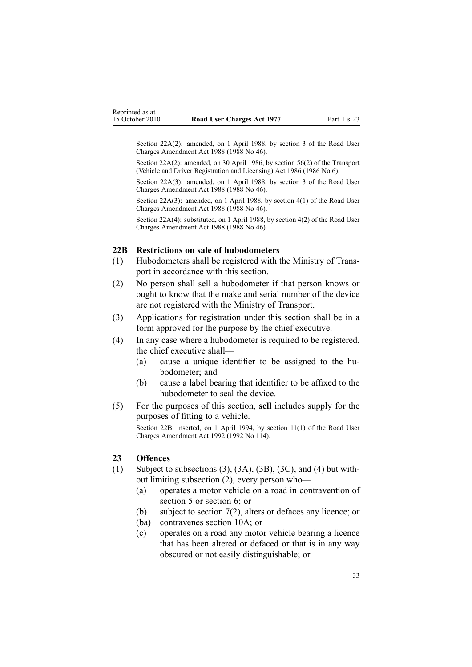<span id="page-32-0"></span>Section 22A(2): amended, on 1 April 1988, by section 3 of the Road User Charges Amendment Act 1988 (1988 No 46).

Section 22A(2): amended, on 30 April 1986, by [section](http://www.legislation.govt.nz/pdflink.aspx?id=DLM92149) 56(2) of the Transport (Vehicle and Driver Registration and Licensing) Act 1986 (1986 No 6).

Section 22A(3): amended, on 1 April 1988, by section 3 of the Road User Charges Amendment Act 1988 (1988 No 46).

Section 22A(3): amended, on 1 April 1988, by section 4(1) of the Road User Charges Amendment Act 1988 (1988 No 46).

Section 22A(4): substituted, on 1 April 1988, by section 4(2) of the Road User Charges Amendment Act 1988 (1988 No 46).

#### **22B Restrictions on sale of hubodometers**

- (1) Hubodometers shall be registered with the Ministry of Transpor<sup>t</sup> in accordance with this section.
- (2) No person shall sell <sup>a</sup> hubodometer if that person knows or ought to know that the make and serial number of the device are not registered with the Ministry of Transport.
- (3) Applications for registration under this section shall be in <sup>a</sup> form approved for the purpose by the chief executive.
- (4) In any case where <sup>a</sup> hubodometer is required to be registered, the chief executive shall—
	- (a) cause <sup>a</sup> unique identifier to be assigned to the hubodometer; and
	- (b) cause <sup>a</sup> label bearing that identifier to be affixed to the hubodometer to seal the device.
- (5) For the purposes of this section, **sell** includes supply for the purposes of fitting to <sup>a</sup> vehicle.

Section 22B: inserted, on 1 April 1994, by section 11(1) of the Road User Charges Amendment Act 1992 (1992 No 114).

#### **23 Offences**

- (1) Subject to subsections (3), (3A), (3B), (3C), and (4) but without limiting subsection (2), every person who—
	- (a) operates <sup>a</sup> motor vehicle on <sup>a</sup> road in contravention of [section](#page-9-0) 5 or [section](#page-10-0) 6; or
	- (b) subject to [section](#page-11-0) 7(2), alters or defaces any licence; or
	- (ba) contravenes [section](#page-14-0) 10A; or
	- (c) operates on <sup>a</sup> road any motor vehicle bearing <sup>a</sup> licence that has been altered or defaced or that is in any way obscured or not easily distinguishable; or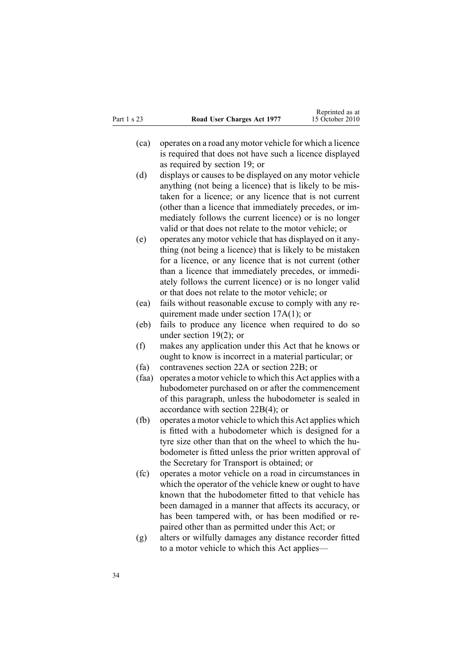- (ca) operates on <sup>a</sup> road any motor vehicle for which <sup>a</sup> licence is required that does not have such <sup>a</sup> licence displayed as required by [section](#page-26-0) 19; or
- (d) displays or causes to be displayed on any motor vehicle anything (not being <sup>a</sup> licence) that is likely to be mistaken for <sup>a</sup> licence; or any licence that is not current (other than <sup>a</sup> licence that immediately precedes, or immediately follows the current licence) or is no longer valid or that does not relate to the motor vehicle; or
- (e) operates any motor vehicle that has displayed on it anything (not being <sup>a</sup> licence) that is likely to be mistaken for <sup>a</sup> licence, or any licence that is not current (other than <sup>a</sup> licence that immediately precedes, or immediately follows the current licence) or is no longer valid or that does not relate to the motor vehicle; or
- (ea) fails without reasonable excuse to comply with any requirement made under section [17A\(1\)](#page-19-0); or
- (eb) fails to produce any licence when required to do so under [section](#page-26-0) 19(2); or
- (f) makes any application under this Act that he knows or ought to know is incorrect in <sup>a</sup> material particular; or
- (fa) contravenes [section](#page-31-0) 22A or [section](#page-32-0) 22B; or
- (faa) operates <sup>a</sup> motor vehicle to which this Act applies with <sup>a</sup> hubodometer purchased on or after the commencement of this paragraph, unless the hubodometer is sealed in accordance with section [22B\(4\)](#page-32-0); or
- (fb) operates <sup>a</sup> motor vehicle to which this Act applies which is fitted with <sup>a</sup> hubodometer which is designed for <sup>a</sup> tyre size other than that on the wheel to which the hubodometer is fitted unless the prior written approval of the Secretary for Transport is obtained; or
- (fc) operates <sup>a</sup> motor vehicle on <sup>a</sup> road in circumstances in which the operator of the vehicle knew or ought to have known that the hubodometer fitted to that vehicle has been damaged in <sup>a</sup> manner that affects its accuracy, or has been tampered with, or has been modified or repaired other than as permitted under this Act; or
- (g) alters or wilfully damages any distance recorder fitted to <sup>a</sup> motor vehicle to which this Act applies—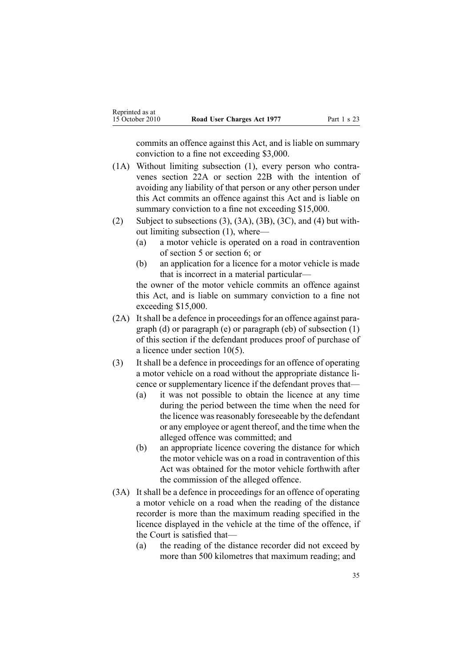commits an offence against this Act, and is liable on summary conviction to <sup>a</sup> fine not exceeding \$3,000.

- (1A) Without limiting subsection (1), every person who contravenes [section](#page-31-0) 22A or [section](#page-32-0) 22B with the intention of avoiding any liability of that person or any other person under this Act commits an offence against this Act and is liable on summary conviction to a fine not exceeding \$15,000.
- (2) Subject to subsections  $(3)$ ,  $(3A)$ ,  $(3B)$ ,  $(3C)$ , and  $(4)$  but without limiting subsection (1), where—
	- (a) <sup>a</sup> motor vehicle is operated on <sup>a</sup> road in contravention of [section](#page-9-0) 5 or [section](#page-10-0) 6; or
	- (b) an application for <sup>a</sup> licence for <sup>a</sup> motor vehicle is made that is incorrect in <sup>a</sup> material particular—

the owner of the motor vehicle commits an offence against this Act, and is liable on summary conviction to <sup>a</sup> fine not exceeding \$15,000.

- (2A) It shall be a defence in proceedings for an offence against paragraph (d) or paragraph (e) or paragraph (eb) of subsection (1) of this section if the defendant produces proof of purchase of <sup>a</sup> licence under [section](#page-13-0) 10(5).
- (3) It shall be <sup>a</sup> defence in proceedings for an offence of operating <sup>a</sup> motor vehicle on <sup>a</sup> road without the appropriate distance licence or supplementary licence if the defendant proves that—
	- (a) it was not possible to obtain the licence at any time during the period between the time when the need for the licence was reasonably foreseeable by the defendant or any employee or agen<sup>t</sup> thereof, and the time when the alleged offence was committed; and
	- (b) an appropriate licence covering the distance for which the motor vehicle was on <sup>a</sup> road in contravention of this Act was obtained for the motor vehicle forthwith after the commission of the alleged offence.
- (3A) It shall be <sup>a</sup> defence in proceedings for an offence of operating <sup>a</sup> motor vehicle on <sup>a</sup> road when the reading of the distance recorder is more than the maximum reading specified in the licence displayed in the vehicle at the time of the offence, if the Court is satisfied that—
	- (a) the reading of the distance recorder did not exceed by more than 500 kilometres that maximum reading; and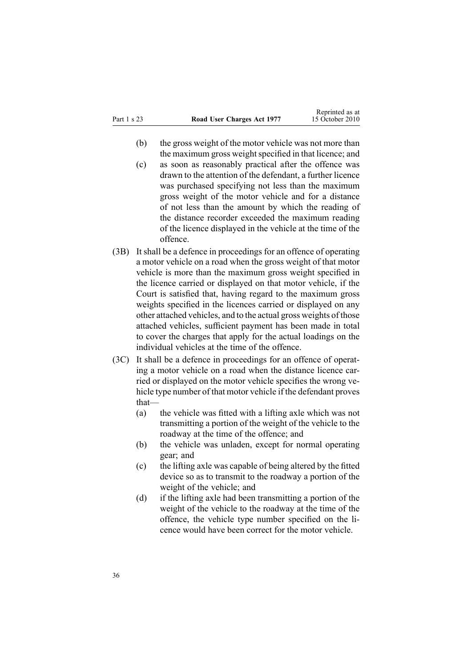- (b) the gross weight of the motor vehicle was not more than the maximum gross weight specified in that licence; and
- (c) as soon as reasonably practical after the offence was drawn to the attention of the defendant, <sup>a</sup> further licence was purchased specifying not less than the maximum gross weight of the motor vehicle and for <sup>a</sup> distance of not less than the amount by which the reading of the distance recorder exceeded the maximum reading of the licence displayed in the vehicle at the time of the offence.
- (3B) It shall be <sup>a</sup> defence in proceedings for an offence of operating <sup>a</sup> motor vehicle on <sup>a</sup> road when the gross weight of that motor vehicle is more than the maximum gross weight specified in the licence carried or displayed on that motor vehicle, if the Court is satisfied that, having regard to the maximum gross weights specified in the licences carried or displayed on any other attached vehicles, and to the actual gross weights of those attached vehicles, sufficient paymen<sup>t</sup> has been made in total to cover the charges that apply for the actual loadings on the individual vehicles at the time of the offence.
- (3C) It shall be <sup>a</sup> defence in proceedings for an offence of operating <sup>a</sup> motor vehicle on <sup>a</sup> road when the distance licence carried or displayed on the motor vehicle specifies the wrong vehicle type number of that motor vehicle if the defendant proves that—
	- (a) the vehicle was fitted with <sup>a</sup> lifting axle which was not transmitting <sup>a</sup> portion of the weight of the vehicle to the roadway at the time of the offence; and
	- (b) the vehicle was unladen, excep<sup>t</sup> for normal operating gear; and
	- (c) the lifting axle was capable of being altered by the fitted device so as to transmit to the roadway <sup>a</sup> portion of the weight of the vehicle; and
	- (d) if the lifting axle had been transmitting <sup>a</sup> portion of the weight of the vehicle to the roadway at the time of the offence, the vehicle type number specified on the licence would have been correct for the motor vehicle.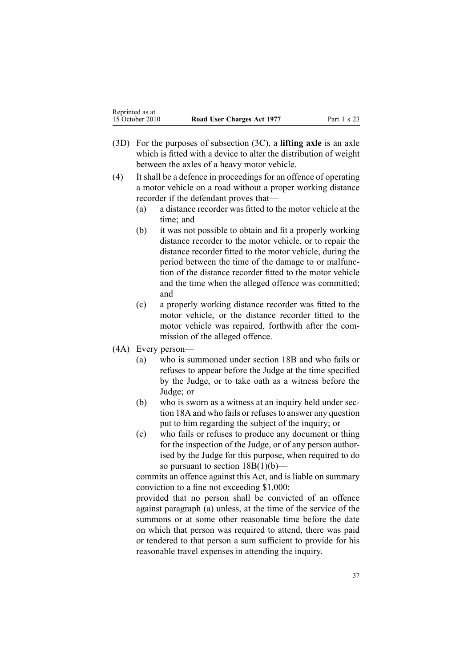- (3D) For the purposes of subsection (3C), <sup>a</sup> **lifting axle** is an axle which is fitted with <sup>a</sup> device to alter the distribution of weight between the axles of <sup>a</sup> heavy motor vehicle.
- (4) It shall be <sup>a</sup> defence in proceedings for an offence of operating <sup>a</sup> motor vehicle on <sup>a</sup> road without <sup>a</sup> proper working distance recorder if the defendant proves that—
	- (a) <sup>a</sup> distance recorder was fitted to the motor vehicle at the time; and
	- (b) it was not possible to obtain and fit <sup>a</sup> properly working distance recorder to the motor vehicle, or to repair the distance recorder fitted to the motor vehicle, during the period between the time of the damage to or malfunction of the distance recorder fitted to the motor vehicle and the time when the alleged offence was committed; and
	- (c) <sup>a</sup> properly working distance recorder was fitted to the motor vehicle, or the distance recorder fitted to the motor vehicle was repaired, forthwith after the commission of the alleged offence.
- (4A) Every person—
	- (a) who is summoned under [section](#page-22-0) 18B and who fails or refuses to appear before the Judge at the time specified by the Judge, or to take oath as <sup>a</sup> witness before the Judge; or
	- (b) who is sworn as <sup>a</sup> witness at an inquiry held under [sec](#page-21-0)-tion [18A](#page-21-0) and who fails or refuses to answer any question pu<sup>t</sup> to him regarding the subject of the inquiry; or
	- (c) who fails or refuses to produce any document or thing for the inspection of the Judge, or of any person authorised by the Judge for this purpose, when required to do so pursuant to section  $18B(1)(b)$ —

commits an offence against this Act, and is liable on summary conviction to <sup>a</sup> fine not exceeding \$1,000:

provided that no person shall be convicted of an offence against paragraph (a) unless, at the time of the service of the summons or at some other reasonable time before the date on which that person was required to attend, there was paid or tendered to that person <sup>a</sup> sum sufficient to provide for his reasonable travel expenses in attending the inquiry.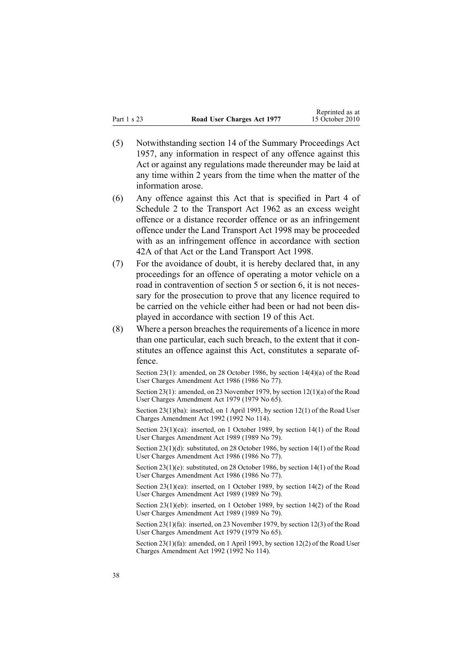- (5) Notwithstanding [section](http://www.legislation.govt.nz/pdflink.aspx?id=DLM311191) 14 of the Summary Proceedings Act 1957, any information in respec<sup>t</sup> of any offence against this Act or against any regulations made thereunder may be laid at any time within 2 years from the time when the matter of the information arose.
- (6) Any offence against this Act that is specified in [Part](http://www.legislation.govt.nz/pdflink.aspx?id=DLM345130) 4 of Schedule 2 to the Transport Act 1962 as an excess weight offence or <sup>a</sup> distance recorder offence or as an infringement offence under the Land [Transport](http://www.legislation.govt.nz/pdflink.aspx?id=DLM433612) Act 1998 may be proceeded with as an infringement offence in accordance with [section](http://www.legislation.govt.nz/pdflink.aspx?id=DLM342910) [42A](http://www.legislation.govt.nz/pdflink.aspx?id=DLM342910) of that Act or the Land Transport Act 1998.
- (7) For the avoidance of doubt, it is hereby declared that, in any proceedings for an offence of operating <sup>a</sup> motor vehicle on <sup>a</sup> road in contravention of [section](#page-9-0) 5 or [section](#page-10-0) 6, it is not necessary for the prosecution to prove that any licence required to be carried on the vehicle either had been or had not been displayed in accordance with [section](#page-26-0) 19 of this Act.
- $(8)$  Where a person breaches the requirements of a licence in more than one particular, each such breach, to the extent that it constitutes an offence against this Act, constitutes <sup>a</sup> separate offence.

Section 23(1): amended, on 28 October 1986, by section 14(4)(a) of the Road User Charges Amendment Act 1986 (1986 No 77).

Section 23(1): amended, on 23 November 1979, by section [12\(1\)\(a\)](http://www.legislation.govt.nz/pdflink.aspx?id=DLM35002) of the Road User Charges Amendment Act 1979 (1979 No 65).

Section 23(1)(ba): inserted, on 1 April 1993, by section 12(1) of the Road User Charges Amendment Act 1992 (1992 No 114).

Section 23(1)(ca): inserted, on 1 October 1989, by section 14(1) of the Road User Charges Amendment Act 1989 (1989 No 79).

Section 23(1)(d): substituted, on 28 October 1986, by section 14(1) of the Road User Charges Amendment Act 1986 (1986 No 77).

Section 23(1)(e): substituted, on 28 October 1986, by section 14(1) of the Road User Charges Amendment Act 1986 (1986 No 77).

Section 23(1)(ea): inserted, on 1 October 1989, by section 14(2) of the Road User Charges Amendment Act 1989 (1989 No 79).

Section 23(1)(eb): inserted, on 1 October 1989, by section 14(2) of the Road User Charges Amendment Act 1989 (1989 No 79).

Section 23(1)(fa): inserted, on 23 November 1979, by [section](http://www.legislation.govt.nz/pdflink.aspx?id=DLM35002) 12(3) of the Road User Charges Amendment Act 1979 (1979 No 65).

Section 23(1)(fa): amended, on 1 April 1993, by section 12(2) of the Road User Charges Amendment Act 1992 (1992 No 114).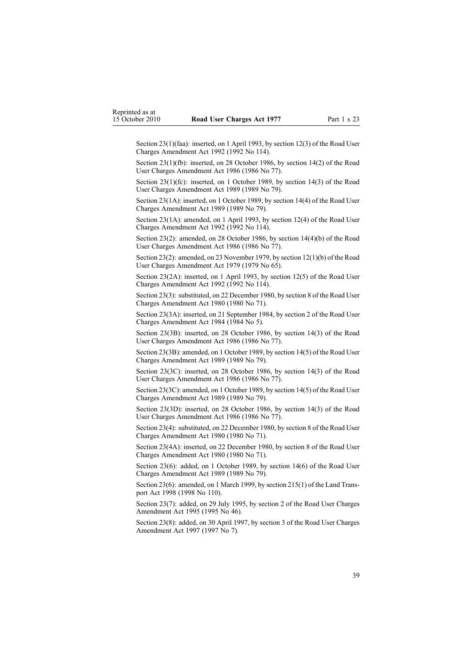Section 23(1)(faa): inserted, on 1 April 1993, by section 12(3) of the Road User Charges Amendment Act 1992 (1992 No 114).

Section 23(1)(fb): inserted, on 28 October 1986, by section 14(2) of the Road User Charges Amendment Act 1986 (1986 No 77).

Section 23(1)(fc): inserted, on 1 October 1989, by section 14(3) of the Road User Charges Amendment Act 1989 (1989 No 79).

Section 23(1A): inserted, on 1 October 1989, by section 14(4) of the Road User Charges Amendment Act 1989 (1989 No 79).

Section 23(1A): amended, on 1 April 1993, by section 12(4) of the Road User Charges Amendment Act 1992 (1992 No 114).

Section 23(2): amended, on 28 October 1986, by section 14(4)(b) of the Road User Charges Amendment Act 1986 (1986 No 77).

Section 23(2): amended, on 23 November 1979, by section [12\(1\)\(b\)](http://www.legislation.govt.nz/pdflink.aspx?id=DLM35002) of the Road User Charges Amendment Act 1979 (1979 No 65).

Section 23(2A): inserted, on 1 April 1993, by section 12(5) of the Road User Charges Amendment Act 1992 (1992 No 114).

Section 23(3): substituted, on 22 December 1980, by [section](http://www.legislation.govt.nz/pdflink.aspx?id=DLM38572) 8 of the Road User Charges Amendment Act 1980 (1980 No 71).

Section 23(3A): inserted, on 21 September 1984, by [section](http://www.legislation.govt.nz/pdflink.aspx?id=DLM75157) 2 of the Road User Charges Amendment Act 1984 (1984 No 5).

Section 23(3B): inserted, on 28 October 1986, by section 14(3) of the Road User Charges Amendment Act 1986 (1986 No 77).

Section 23(3B): amended, on 1 October 1989, by section 14(5) of the Road User Charges Amendment Act 1989 (1989 No 79).

Section 23(3C): inserted, on 28 October 1986, by section 14(3) of the Road User Charges Amendment Act 1986 (1986 No 77).

Section 23(3C): amended, on 1 October 1989, by section 14(5) of the Road User Charges Amendment Act 1989 (1989 No 79).

Section 23(3D): inserted, on 28 October 1986, by section 14(3) of the Road User Charges Amendment Act 1986 (1986 No 77).

Section 23(4): substituted, on 22 December 1980, by [section](http://www.legislation.govt.nz/pdflink.aspx?id=DLM38572) 8 of the Road User Charges Amendment Act 1980 (1980 No 71).

Section 23(4A): inserted, on 22 December 1980, by [section](http://www.legislation.govt.nz/pdflink.aspx?id=DLM38572) 8 of the Road User Charges Amendment Act 1980 (1980 No 71).

Section 23(6): added, on 1 October 1989, by section 14(6) of the Road User Charges Amendment Act 1989 (1989 No 79).

Section 23(6): amended, on 1 March 1999, by section [215\(1\)](http://www.legislation.govt.nz/pdflink.aspx?id=DLM435656) of the Land Transpor<sup>t</sup> Act 1998 (1998 No 110).

Section 23(7): added, on 29 July 1995, by section 2 of the Road User Charges Amendment Act 1995 (1995 No 46).

Section 23(8): added, on 30 April 1997, by [section](http://www.legislation.govt.nz/pdflink.aspx?id=DLM407965) 3 of the Road User Charges Amendment Act 1997 (1997 No 7).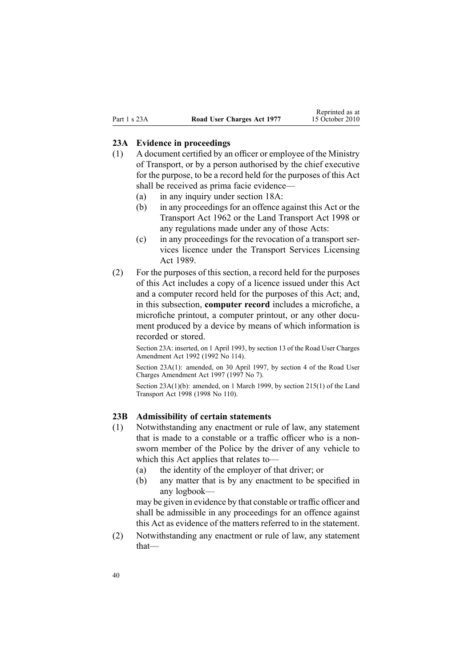#### <span id="page-39-0"></span>**23A Evidence in proceedings**

- (1) A document certified by an officer or employee of the Ministry of Transport, or by <sup>a</sup> person authorised by the chief executive for the purpose, to be <sup>a</sup> record held for the purposes of this Act shall be received as prima facie evidence—
	- (a) in any inquiry under [section](#page-21-0) 18A:
	- (b) in any proceedings for an offence against this Act or the [Transport](http://www.legislation.govt.nz/pdflink.aspx?id=DLM341189) Act 1962 or the Land [Transport](http://www.legislation.govt.nz/pdflink.aspx?id=DLM433612) Act 1998 or any regulations made under any of those Acts:
	- (c) in any proceedings for the revocation of <sup>a</sup> transport services licence under the Transport Services [Licensing](http://www.legislation.govt.nz/pdflink.aspx?id=DLM170942) Act [1989](http://www.legislation.govt.nz/pdflink.aspx?id=DLM170942).
- (2) For the purposes of this section, <sup>a</sup> record held for the purposes of this Act includes <sup>a</sup> copy of <sup>a</sup> licence issued under this Act and <sup>a</sup> computer record held for the purposes of this Act; and, in this subsection, **computer record** includes <sup>a</sup> microfiche, <sup>a</sup> microfiche printout, <sup>a</sup> computer printout, or any other document produced by <sup>a</sup> device by means of which information is recorded or stored.

Section 23A: inserted, on 1 April 1993, by section 13 of the Road User Charges Amendment Act 1992 (1992 No 114).

Section 23A(1): amended, on 30 April 1997, by [section](http://www.legislation.govt.nz/pdflink.aspx?id=DLM407966) 4 of the Road User Charges Amendment Act 1997 (1997 No 7).

Section 23A(1)(b): amended, on 1 March 1999, by section [215\(1\)](http://www.legislation.govt.nz/pdflink.aspx?id=DLM435656) of the Land Transport Act 1998 (1998 No 110).

#### **23B Admissibility of certain statements**

- (1) Notwithstanding any enactment or rule of law, any statement that is made to <sup>a</sup> constable or <sup>a</sup> traffic officer who is <sup>a</sup> nonsworn member of the Police by the driver of any vehicle to which this Act applies that relates to—
	- (a) the identity of the employer of that driver; or
	- (b) any matter that is by any enactment to be specified in any logbook—

may be given in evidence by that constable or traffic officer and shall be admissible in any proceedings for an offence against this Act as evidence of the matters referred to in the statement.

(2) Notwithstanding any enactment or rule of law, any statement that—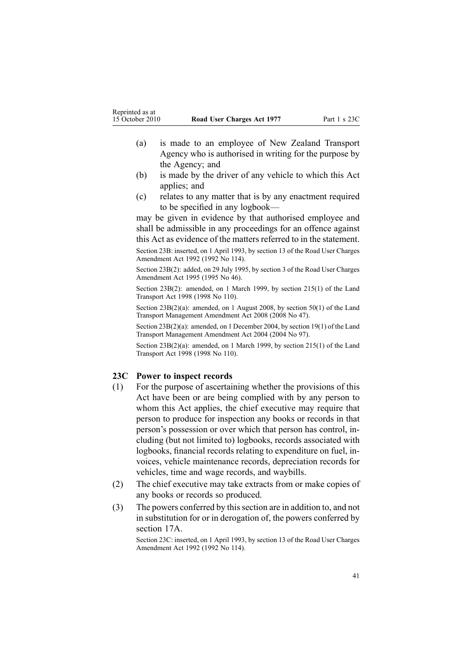- <span id="page-40-0"></span>(a) is made to an employee of New Zealand Transport Agency who is authorised in writing for the purpose by the Agency; and
- (b) is made by the driver of any vehicle to which this Act applies; and
- (c) relates to any matter that is by any enactment required to be specified in any logbook—

may be given in evidence by that authorised employee and shall be admissible in any proceedings for an offence against this Act as evidence of the matters referred to in the statement.

Section 23B: inserted, on 1 April 1993, by section 13 of the Road User Charges Amendment Act 1992 (1992 No 114).

Section 23B(2): added, on 29 July 1995, by section 3 of the Road User Charges Amendment Act 1995 (1995 No 46).

Section 23B(2): amended, on 1 March 1999, by section [215\(1\)](http://www.legislation.govt.nz/pdflink.aspx?id=DLM435656) of the Land Transport Act 1998 (1998 No 110).

Section 23B(2)(a): amended, on 1 August 2008, by [section](http://www.legislation.govt.nz/pdflink.aspx?id=DLM1313622) 50(1) of the Land Transport Management Amendment Act 2008 (2008 No 47).

Section 23B(2)(a): amended, on 1 December 2004, by [section](http://www.legislation.govt.nz/pdflink.aspx?id=DLM321838) 19(1) of the Land Transport Management Amendment Act 2004 (2004 No 97).

Section 23B(2)(a): amended, on 1 March 1999, by section [215\(1\)](http://www.legislation.govt.nz/pdflink.aspx?id=DLM435656) of the Land Transport Act 1998 (1998 No 110).

#### **23C Power to inspect records**

- (1) For the purpose of ascertaining whether the provisions of this Act have been or are being complied with by any person to whom this Act applies, the chief executive may require that person to produce for inspection any books or records in that person's possession or over which that person has control, including (but not limited to) logbooks, records associated with logbooks, financial records relating to expenditure on fuel, invoices, vehicle maintenance records, depreciation records for vehicles, time and wage records, and waybills.
- (2) The chief executive may take extracts from or make copies of any books or records so produced.
- (3) The powers conferred by thissection are in addition to, and not in substitution for or in derogation of, the powers conferred by [section](#page-19-0) 17A.

Section 23C: inserted, on 1 April 1993, by section 13 of the Road User Charges Amendment Act 1992 (1992 No 114).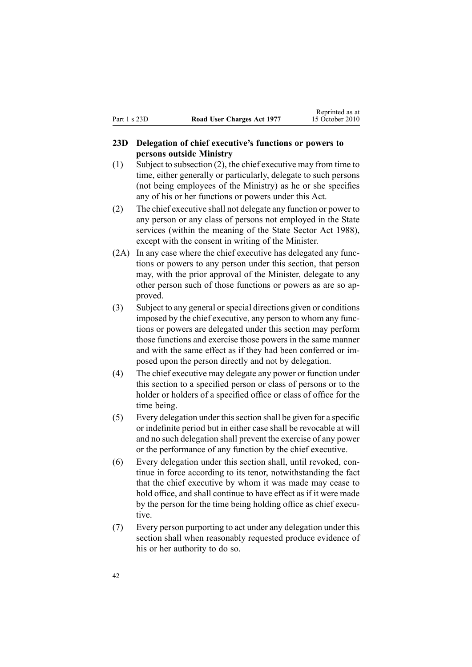#### <span id="page-41-0"></span>**23D Delegation of chief executive's functions or powers to persons outside Ministry**

- (1) Subject to subsection (2), the chief executive may from time to time, either generally or particularly, delegate to such persons (not being employees of the Ministry) as he or she specifies any of his or her functions or powers under this Act.
- (2) The chief executive shall not delegate any function or power to any person or any class of persons not employed in the State services (within the meaning of the State [Sector](http://www.legislation.govt.nz/pdflink.aspx?id=DLM129109) Act 1988), excep<sup>t</sup> with the consent in writing of the Minister.
- (2A) In any case where the chief executive has delegated any functions or powers to any person under this section, that person may, with the prior approval of the Minister, delegate to any other person such of those functions or powers as are so approved.
- (3) Subject to any general orspecial directions given or conditions imposed by the chief executive, any person to whom any functions or powers are delegated under this section may perform those functions and exercise those powers in the same manner and with the same effect as if they had been conferred or imposed upon the person directly and not by delegation.
- (4) The chief executive may delegate any power or function under this section to <sup>a</sup> specified person or class of persons or to the holder or holders of <sup>a</sup> specified office or class of office for the time being.
- (5) Every delegation under thissection shall be given for <sup>a</sup> specific or indefinite period but in either case shall be revocable at will and no such delegation shall preven<sup>t</sup> the exercise of any power or the performance of any function by the chief executive.
- (6) Every delegation under this section shall, until revoked, continue in force according to its tenor, notwithstanding the fact that the chief executive by whom it was made may cease to hold office, and shall continue to have effect as if it were made by the person for the time being holding office as chief executive.
- (7) Every person purporting to act under any delegation under this section shall when reasonably requested produce evidence of his or her authority to do so.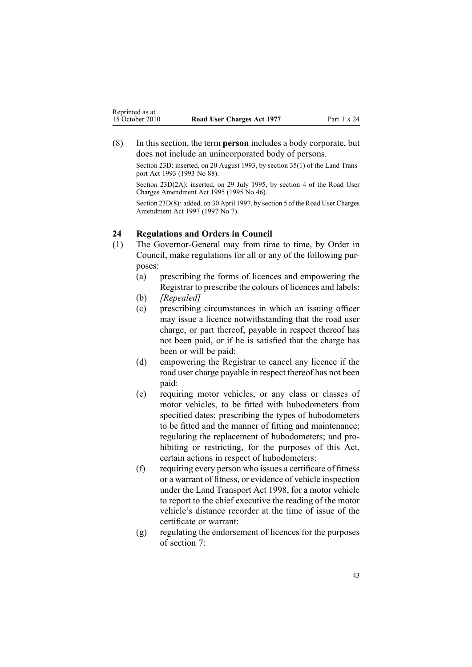<span id="page-42-0"></span>(8) In this section, the term **person** includes <sup>a</sup> body corporate, but does not include an unincorporated body of persons.

Section 23D: inserted, on 20 August 1993, by section 35(1) of the Land Transpor<sup>t</sup> Act 1993 (1993 No 88).

Section 23D(2A): inserted, on 29 July 1995, by section 4 of the Road User Charges Amendment Act 1995 (1995 No 46).

Section 23D(8): added, on 30 April 1997, by [section](http://www.legislation.govt.nz/pdflink.aspx?id=DLM407967) 5 of the Road User Charges Amendment Act 1997 (1997 No 7).

#### **24 Regulations and Orders in Council**

- (1) The Governor-General may from time to time, by Order in Council, make regulations for all or any of the following purposes:
	- (a) prescribing the forms of licences and empowering the Registrar to prescribe the colours of licences and labels:
	- (b) *[Repealed]*
	- (c) prescribing circumstances in which an issuing officer may issue <sup>a</sup> licence notwithstanding that the road user charge, or par<sup>t</sup> thereof, payable in respec<sup>t</sup> thereof has not been paid, or if he is satisfied that the charge has been or will be paid:
	- (d) empowering the Registrar to cancel any licence if the road user charge payable in respec<sup>t</sup> thereof has not been paid:
	- (e) requiring motor vehicles, or any class or classes of motor vehicles, to be fitted with hubodometers from specified dates; prescribing the types of hubodometers to be fitted and the manner of fitting and maintenance; regulating the replacement of hubodometers; and prohibiting or restricting, for the purposes of this Act, certain actions in respec<sup>t</sup> of hubodometers:
	- (f) requiring every person who issues <sup>a</sup> certificate of fitness or <sup>a</sup> warrant of fitness, or evidence of vehicle inspection under the Land [Transport](http://www.legislation.govt.nz/pdflink.aspx?id=DLM433612) Act 1998, for <sup>a</sup> motor vehicle to repor<sup>t</sup> to the chief executive the reading of the motor vehicle's distance recorder at the time of issue of the certificate or warrant:
	- (g) regulating the endorsement of licences for the purposes of [section](#page-11-0) 7: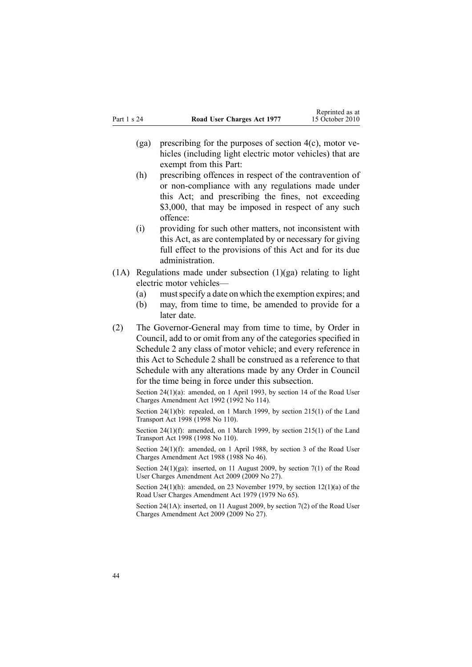- (ga) prescribing for the purposes of [section](#page-9-0)  $4(c)$ , motor vehicles (including light electric motor vehicles) that are exemp<sup>t</sup> from this Part:
- (h) prescribing offences in respec<sup>t</sup> of the contravention of or non-compliance with any regulations made under this Act; and prescribing the fines, not exceeding \$3,000, that may be imposed in respect of any such offence:
- (i) providing for such other matters, not inconsistent with this Act, as are contemplated by or necessary for giving full effect to the provisions of this Act and for its due administration.
- $(1)$  Regulations made under subsection  $(1)(ga)$  relating to light electric motor vehicles—
	- (a) mustspecify <sup>a</sup> date on which the exemption expires; and
	- (b) may, from time to time, be amended to provide for <sup>a</sup> later date.
- (2) The Governor-General may from time to time, by Order in Council, add to or omit from any of the categories specified in [Schedule](#page-49-0) 2 any class of motor vehicle; and every reference in this Act to Schedule 2 shall be construed as <sup>a</sup> reference to that Schedule with any alterations made by any Order in Council for the time being in force under this subsection.

Section 24(1)(a): amended, on 1 April 1993, by section 14 of the Road User Charges Amendment Act 1992 (1992 No 114).

Section 24(1)(b): repealed, on 1 March 1999, by section [215\(1\)](http://www.legislation.govt.nz/pdflink.aspx?id=DLM435656) of the Land Transport Act 1998 (1998 No 110).

Section 24(1)(f): amended, on 1 March 1999, by section [215\(1\)](http://www.legislation.govt.nz/pdflink.aspx?id=DLM435656) of the Land Transport Act 1998 (1998 No 110).

Section 24(1)(f): amended, on 1 April 1988, by section 3 of the Road User Charges Amendment Act 1988 (1988 No 46).

Section 24(1)(ga): inserted, on 11 August 2009, by [section](http://www.legislation.govt.nz/pdflink.aspx?id=DLM2172216) 7(1) of the Road User Charges Amendment Act 2009 (2009 No 27).

Section 24(1)(h): amended, on 23 November 1979, by section [12\(1\)\(a\)](http://www.legislation.govt.nz/pdflink.aspx?id=DLM35002) of the Road User Charges Amendment Act 1979 (1979 No 65).

Section 24(1A): inserted, on 11 August 2009, by [section](http://www.legislation.govt.nz/pdflink.aspx?id=DLM2172216) 7(2) of the Road User Charges Amendment Act 2009 (2009 No 27).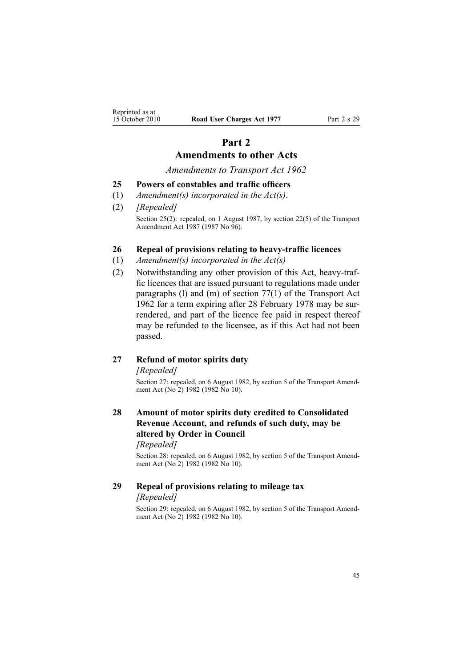## **Part 2 Amendments to other Acts**

*Amendments to Transport Act 1962*

#### <span id="page-44-0"></span>**25 Powers of constables and traffic officers**

- (1) *Amendment(s) incorporated in the [Act\(s\)](http://www.legislation.govt.nz/pdflink.aspx?id=DLM343552)*.
- (2) *[Repealed]* Section 25(2): repealed, on 1 August 1987, by section 22(5) of the Transport Amendment Act 1987 (1987 No 96).

#### **26 Repeal of provisions relating to heavy-traffic licences**

- (1) *Amendment(s) incorporated in the [Act\(s\)](http://www.legislation.govt.nz/pdflink.aspx?id=DLM341189)*
- (2) Notwithstanding any other provision of this Act, heavy-traffic licences that are issued pursuan<sup>t</sup> to regulations made under paragraphs (l) and (m) of [section](http://www.legislation.govt.nz/pdflink.aspx?id=DLM343978) 77(1) of the Transport Act 1962 for <sup>a</sup> term expiring after 28 February 1978 may be surrendered, and par<sup>t</sup> of the licence fee paid in respec<sup>t</sup> thereof may be refunded to the licensee, as if this Act had not been passed.

## **27 Refund of motor spirits duty**

*[Repealed]*

Section 27: repealed, on 6 August 1982, by section 5 of the Transport Amendment Act (No<sup>2</sup>) 1982 (1982 No 10).

## **28 Amount of motor spirits duty credited to Consolidated Revenue Account, and refunds of such duty, may be altered by Order in Council**

*[Repealed]*

Section 28: repealed, on 6 August 1982, by section 5 of the Transport Amendment Act (No<sup>2</sup>) 1982 (1982 No 10).

#### **29 Repeal of provisions relating to mileage tax** *[Repealed]*

Section 29: repealed, on 6 August 1982, by section 5 of the Transport Amendment Act (No<sup>2</sup>) 1982 (1982 No 10).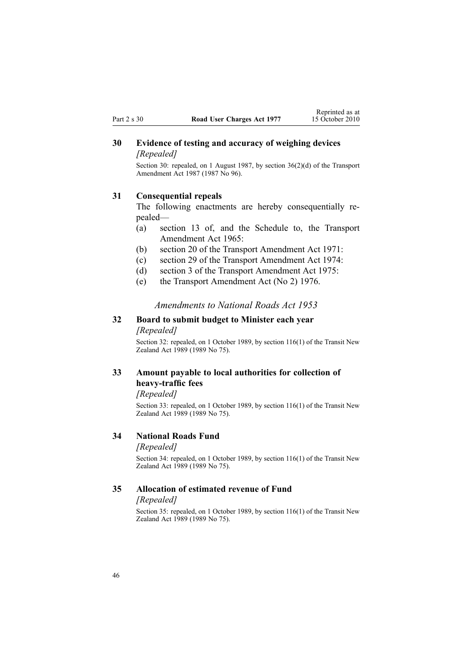### <span id="page-45-0"></span>**30 Evidence of testing and accuracy of weighing devices** *[Repealed]*

Section 30: repealed, on 1 August 1987, by section 36(2)(d) of the Transport Amendment Act 1987 (1987 No 96).

#### **31 Consequential repeals**

The following enactments are hereby consequentially repealed—

- (a) section 13 of, and the Schedule to, the Transport Amendment Act 1965:
- (b) section 20 of the Transport Amendment Act 1971:
- (c) section 29 of the Transport Amendment Act 1974:
- (d) section 3 of the Transport Amendment Act 1975:
- (e) the Transport Amendment Act (No 2) 1976.

#### *Amendments to National Roads Act 1953*

### **32 Board to submit budget to Minister each year** *[Repealed]*

Section 32: repealed, on 1 October 1989, by section [116\(1\)](http://www.legislation.govt.nz/pdflink.aspx?id=DLM175926) of the Transit New Zealand Act 1989 (1989 No 75).

## **33 Amount payable to local authorities for collection of heavy-traffic fees**

*[Repealed]*

Section 33: repealed, on 1 October 1989, by section [116\(1\)](http://www.legislation.govt.nz/pdflink.aspx?id=DLM175926) of the Transit New Zealand Act 1989 (1989 No 75).

#### **34 National Roads Fund**

#### *[Repealed]*

Section 34: repealed, on 1 October 1989, by section [116\(1\)](http://www.legislation.govt.nz/pdflink.aspx?id=DLM175926) of the Transit New Zealand Act 1989 (1989 No 75).

#### **35 Allocation of estimated revenue of Fund**

#### *[Repealed]*

Section 35: repealed, on 1 October 1989, by section [116\(1\)](http://www.legislation.govt.nz/pdflink.aspx?id=DLM175926) of the Transit New Zealand Act 1989 (1989 No 75).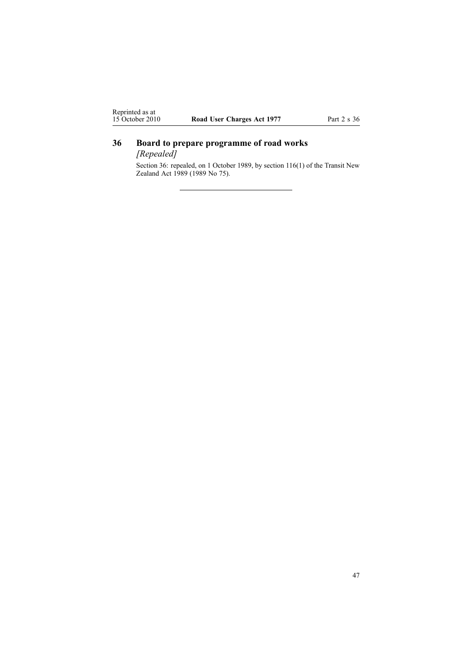## <span id="page-46-0"></span>**36 Board to prepare programme of road works**

*[Repealed]*

Section 36: repealed, on 1 October 1989, by section [116\(1\)](http://www.legislation.govt.nz/pdflink.aspx?id=DLM175926) of the Transit New Zealand Act 1989 (1989 No 75).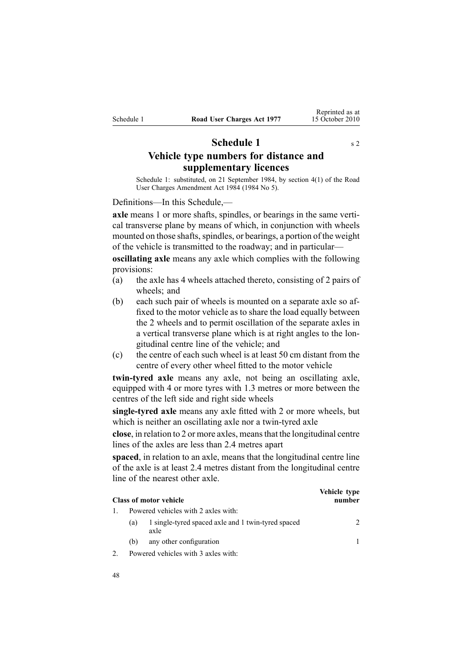## **Schedule 1** s [2](#page-3-0)

<span id="page-47-0"></span>**Vehicle type numbers for distance and supplementary licences**

Schedule 1: substituted, on 21 September 1984, by [section](http://www.legislation.govt.nz/pdflink.aspx?id=DLM75159) 4(1) of the Road User Charges Amendment Act 1984 (1984 No 5).

Definitions—In this Schedule,—

**axle** means 1 or more shafts, spindles, or bearings in the same vertical transverse plane by means of which, in conjunction with wheels mounted on those shafts, spindles, or bearings, a portion of the weight of the vehicle is transmitted to the roadway; and in particular—

**oscillating axle** means any axle which complies with the following provisions:

- (a) the axle has 4 wheels attached thereto, consisting of 2 pairs of wheels; and
- (b) each such pair of wheels is mounted on <sup>a</sup> separate axle so affixed to the motor vehicle as to share the load equally between the 2 wheels and to permit oscillation of the separate axles in <sup>a</sup> vertical transverse plane which is at right angles to the longitudinal centre line of the vehicle; and
- (c) the centre of each such wheel is at least 50 cm distant from the centre of every other wheel fitted to the motor vehicle

**twin-tyred axle** means any axle, not being an oscillating axle, equipped with 4 or more tyres with 1.3 metres or more between the centres of the left side and right side wheels

**single-tyred axle** means any axle fitted with 2 or more wheels, but which is neither an oscillating axle nor <sup>a</sup> twin-tyred axle

**close**, in relation to 2 or more axles, meansthat the longitudinal centre lines of the axles are less than 2.4 metres apar<sup>t</sup>

**spaced**, in relation to an axle, means that the longitudinal centre line of the axle is at least 2.4 metres distant from the longitudinal centre line of the nearest other axle.

| <b>Class of motor vehicle</b> |     |                                                            | Vehicle type<br>number |
|-------------------------------|-----|------------------------------------------------------------|------------------------|
|                               |     | Powered vehicles with 2 axles with:                        |                        |
|                               | (a) | 1 single-tyred spaced axle and 1 twin-tyred spaced<br>axle |                        |
|                               | (b) | any other configuration                                    |                        |
|                               |     | Powered vehicles with 3 axles with:                        |                        |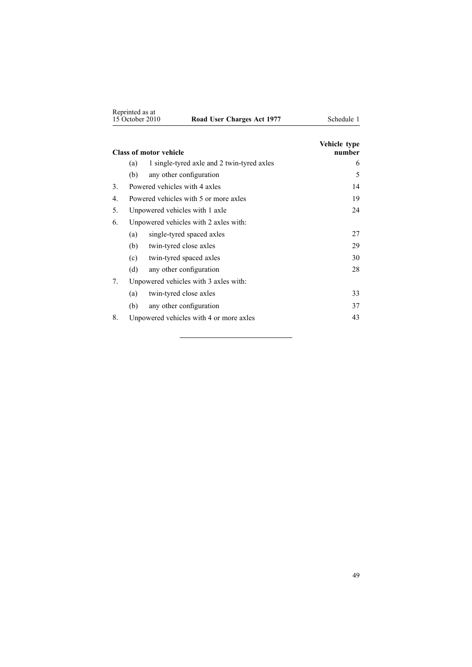|    | Reprinted as at<br>15 October 2010 | Road User Charges Act 1977                 | Schedule 1             |
|----|------------------------------------|--------------------------------------------|------------------------|
|    |                                    | <b>Class of motor vehicle</b>              | Vehicle type<br>number |
|    | (a)                                | 1 single-tyred axle and 2 twin-tyred axles | 6                      |
|    | (b)                                | any other configuration                    | 5                      |
| 3. |                                    | Powered vehicles with 4 axles              | 14                     |
| 4  |                                    | Powered vehicles with 5 or more axles      | 19                     |
| 5. |                                    | Unpowered vehicles with 1 axle             | 24                     |
| 6. |                                    | Unpowered vehicles with 2 axles with:      |                        |
|    | (a)                                | single-tyred spaced axles                  | 27                     |
|    | (b)                                | twin-tyred close axles                     | 29                     |
|    | (c)                                | twin-tyred spaced axles                    | 30                     |
|    | (d)                                | any other configuration                    | 28                     |
| 7. |                                    | Unpowered vehicles with 3 axles with:      |                        |
|    | (a)                                | twin-tyred close axles                     | 33                     |
|    | (b)                                | any other configuration                    | 37                     |
| 8. |                                    | Unpowered vehicles with 4 or more axles    | 43                     |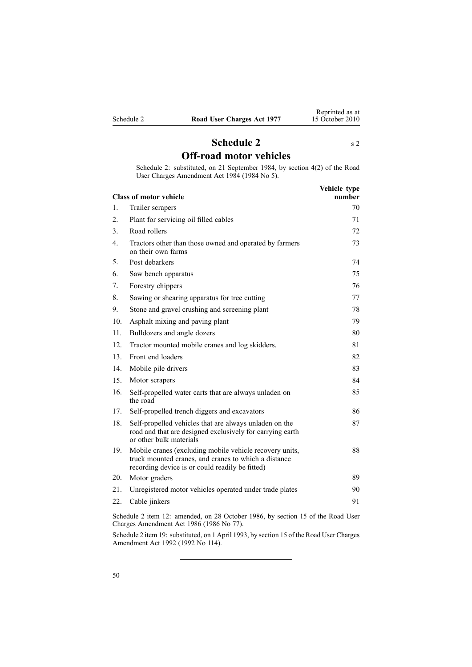<span id="page-49-0"></span>

## **Schedule [2](#page-3-0)** s 2 **Off-road motor vehicles**

Schedule 2: substituted, on 21 September 1984, by [section](http://www.legislation.govt.nz/pdflink.aspx?id=DLM75159) 4(2) of the Road User Charges Amendment Act 1984 (1984 No 5).

|                  | <b>Class of motor vehicle</b>                                                                                                                                      | Vehicle type<br>number |
|------------------|--------------------------------------------------------------------------------------------------------------------------------------------------------------------|------------------------|
| 1.               | Trailer scrapers                                                                                                                                                   | 70                     |
| 2.               | Plant for servicing oil filled cables                                                                                                                              | 71                     |
| 3.               | Road rollers                                                                                                                                                       | 72                     |
| $\overline{4}$ . | Tractors other than those owned and operated by farmers<br>on their own farms                                                                                      | 73                     |
| 5.               | Post debarkers                                                                                                                                                     | 74                     |
| 6.               | Saw bench apparatus                                                                                                                                                | 75                     |
| 7.               | Forestry chippers                                                                                                                                                  | 76                     |
| 8.               | Sawing or shearing apparatus for tree cutting                                                                                                                      | 77                     |
| 9.               | Stone and gravel crushing and screening plant                                                                                                                      | 78                     |
| 10.              | Asphalt mixing and paving plant                                                                                                                                    | 79                     |
| 11.              | Bulldozers and angle dozers                                                                                                                                        | 80                     |
| 12.              | Tractor mounted mobile cranes and log skidders.                                                                                                                    | 81                     |
| 13.              | Front end loaders                                                                                                                                                  | 82                     |
| 14.              | Mobile pile drivers                                                                                                                                                | 83                     |
| 15               | Motor scrapers                                                                                                                                                     | 84                     |
| 16.              | Self-propelled water carts that are always unladen on<br>the road                                                                                                  | 85                     |
| 17.              | Self-propelled trench diggers and excavators                                                                                                                       | 86                     |
| 18.              | Self-propelled vehicles that are always unladen on the<br>road and that are designed exclusively for carrying earth<br>or other bulk materials                     | 87                     |
| 19.              | Mobile cranes (excluding mobile vehicle recovery units,<br>truck mounted cranes, and cranes to which a distance<br>recording device is or could readily be fitted) | 88                     |
| 20.              | Motor graders                                                                                                                                                      | 89                     |
| 21.              | Unregistered motor vehicles operated under trade plates                                                                                                            | 90                     |
| 22.              | Cable jinkers                                                                                                                                                      | 91                     |
|                  |                                                                                                                                                                    |                        |

Schedule 2 item 12: amended, on 28 October 1986, by section 15 of the Road User Charges Amendment Act 1986 (1986 No 77).

Schedule 2 item 19: substituted, on 1 April 1993, by section 15 of the Road User Charges Amendment Act 1992 (1992 No 114).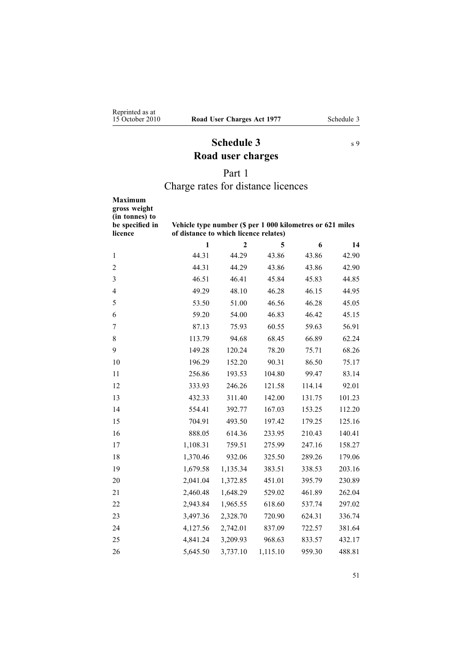## **Schedule 3** s [9](#page-13-0) **Road user charges**

## Part 1

## Charge rates for distance licences

<span id="page-50-0"></span>

| <b>Maximum</b><br>gross weight<br>(in tonnes) to<br>be specified in<br>licence | Vehicle type number (\$ per 1 000 kilometres or 621 miles<br>of distance to which licence relates) |                |          |        |        |
|--------------------------------------------------------------------------------|----------------------------------------------------------------------------------------------------|----------------|----------|--------|--------|
|                                                                                | $\mathbf{1}$                                                                                       | $\overline{2}$ | 5        | 6      | 14     |
| $\mathbf{1}$                                                                   | 44.31                                                                                              | 44.29          | 43.86    | 43.86  | 42.90  |
| $\overline{c}$                                                                 | 44.31                                                                                              | 44.29          | 43.86    | 43.86  | 42.90  |
| 3                                                                              | 46.51                                                                                              | 46.41          | 45.84    | 45.83  | 44.85  |
| $\overline{4}$                                                                 | 49.29                                                                                              | 48.10          | 46.28    | 46.15  | 44.95  |
| 5                                                                              | 53.50                                                                                              | 51.00          | 46.56    | 46.28  | 45.05  |
| 6                                                                              | 59.20                                                                                              | 54.00          | 46.83    | 46.42  | 45.15  |
| 7                                                                              | 87.13                                                                                              | 75.93          | 60.55    | 59.63  | 56.91  |
| 8                                                                              | 113.79                                                                                             | 94.68          | 68.45    | 66.89  | 62.24  |
| 9                                                                              | 149.28                                                                                             | 120.24         | 78.20    | 75.71  | 68.26  |
| 10                                                                             | 196.29                                                                                             | 152.20         | 90.31    | 86.50  | 75.17  |
| 11                                                                             | 256.86                                                                                             | 193.53         | 104.80   | 99.47  | 83.14  |
| 12                                                                             | 333.93                                                                                             | 246.26         | 121.58   | 114.14 | 92.01  |
| 13                                                                             | 432.33                                                                                             | 311.40         | 142.00   | 131.75 | 101.23 |
| 14                                                                             | 554.41                                                                                             | 392.77         | 167.03   | 153.25 | 112.20 |
| 15                                                                             | 704.91                                                                                             | 493.50         | 197.42   | 179.25 | 125.16 |
| 16                                                                             | 888.05                                                                                             | 614.36         | 233.95   | 210.43 | 140.41 |
| 17                                                                             | 1,108.31                                                                                           | 759.51         | 275.99   | 247.16 | 158.27 |
| 18                                                                             | 1,370.46                                                                                           | 932.06         | 325.50   | 289.26 | 179.06 |
| 19                                                                             | 1,679.58                                                                                           | 1,135.34       | 383.51   | 338.53 | 203.16 |
| 20                                                                             | 2,041.04                                                                                           | 1,372.85       | 451.01   | 395.79 | 230.89 |
| 21                                                                             | 2,460.48                                                                                           | 1,648.29       | 529.02   | 461.89 | 262.04 |
| 22                                                                             | 2,943.84                                                                                           | 1,965.55       | 618.60   | 537.74 | 297.02 |
| 23                                                                             | 3,497.36                                                                                           | 2,328.70       | 720.90   | 624.31 | 336.74 |
| 24                                                                             | 4,127.56                                                                                           | 2,742.01       | 837.09   | 722.57 | 381.64 |
| 25                                                                             | 4,841.24                                                                                           | 3,209.93       | 968.63   | 833.57 | 432.17 |
| 26                                                                             | 5,645.50                                                                                           | 3,737.10       | 1,115.10 | 959.30 | 488.81 |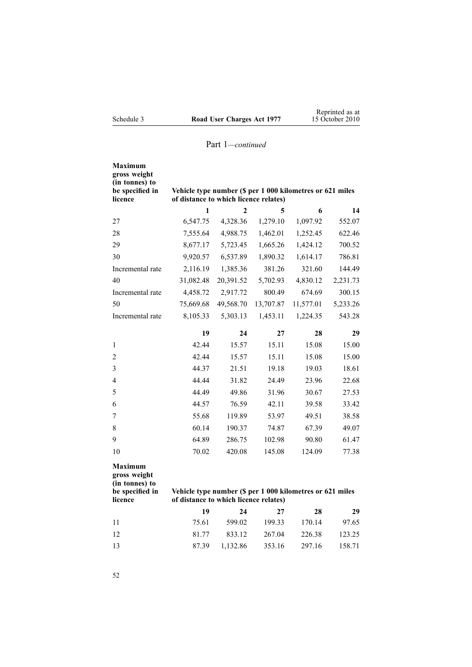| 1                                                                                                                                           | $\mathbf{c}$ | 5            | 6                                                                                              | 14                                                              |  |  |
|---------------------------------------------------------------------------------------------------------------------------------------------|--------------|--------------|------------------------------------------------------------------------------------------------|-----------------------------------------------------------------|--|--|
| 6,547.75                                                                                                                                    | 4,328.36     | 1,279.10     | 1,097.92                                                                                       | 552.07                                                          |  |  |
| 7,555.64                                                                                                                                    | 4,988.75     | 1,462.01     | 1,252.45                                                                                       | 622.46                                                          |  |  |
| 8,677.17                                                                                                                                    | 5,723.45     | 1,665.26     | 1,424.12                                                                                       | 700.52                                                          |  |  |
| 9,920.57                                                                                                                                    | 6,537.89     | 1,890.32     | 1,614.17                                                                                       | 786.81                                                          |  |  |
| 2,116.19                                                                                                                                    | 1,385.36     | 381.26       | 321.60                                                                                         | 144.49                                                          |  |  |
| 31,082.48                                                                                                                                   | 20,391.52    | 5,702.93     | 4,830.12                                                                                       | 2,231.73                                                        |  |  |
| 4,458.72                                                                                                                                    | 2,917.72     | 800.49       | 674.69                                                                                         | 300.15                                                          |  |  |
| 75,669.68                                                                                                                                   | 49,568.70    | 13,707.87    | 11,577.01                                                                                      | 5,233.26                                                        |  |  |
| 8,105.33                                                                                                                                    | 5,303.13     | 1,453.11     | 1,224.35                                                                                       | 543.28                                                          |  |  |
| 19                                                                                                                                          | 24           | 27           | 28                                                                                             | 29                                                              |  |  |
| 42.44                                                                                                                                       | 15.57        | 15.11        | 15.08                                                                                          | 15.00                                                           |  |  |
| 42.44                                                                                                                                       | 15.57        | 15.11        | 15.08                                                                                          | 15.00                                                           |  |  |
| 44.37                                                                                                                                       | 21.51        | 19.18        | 19.03                                                                                          | 18.61                                                           |  |  |
| 44.44                                                                                                                                       | 31.82        | 24.49        | 23.96                                                                                          | 22.68                                                           |  |  |
| 44.49                                                                                                                                       | 49.86        | 31.96        | 30.67                                                                                          | 27.53                                                           |  |  |
| 44.57                                                                                                                                       | 76.59        | 42.11        | 39.58                                                                                          | 33.42                                                           |  |  |
| 55.68                                                                                                                                       | 119.89       | 53.97        | 49.51                                                                                          | 38.58                                                           |  |  |
| 60.14                                                                                                                                       | 190.37       | 74.87        | 67.39                                                                                          | 49.07                                                           |  |  |
| 64.89                                                                                                                                       | 286.75       | 102.98       | 90.80                                                                                          | 61.47                                                           |  |  |
| 70.02                                                                                                                                       | 420.08       | 145.08       | 124.09                                                                                         | 77.38                                                           |  |  |
| <b>Maximum</b><br>gross weight<br>(in tonnes) to<br>be specified in<br>Vehicle type number (\$ per 1 000 kilometres or 621 miles<br>licence |              |              |                                                                                                |                                                                 |  |  |
|                                                                                                                                             |              |              |                                                                                                | 29                                                              |  |  |
|                                                                                                                                             |              |              | 170.14                                                                                         | 97.65                                                           |  |  |
| 81.77                                                                                                                                       | 833.12       | 267.04       | 226.38                                                                                         | 123.25                                                          |  |  |
| 87.39                                                                                                                                       | 1,132.86     | 353.16       | 297.16                                                                                         | 158.71                                                          |  |  |
|                                                                                                                                             | 19<br>75.61  | 24<br>599.02 | of distance to which licence relates)<br>of distance to which licence relates)<br>27<br>199.33 | Vehicle type number (\$ per 1 000 kilometres or 621 miles<br>28 |  |  |

52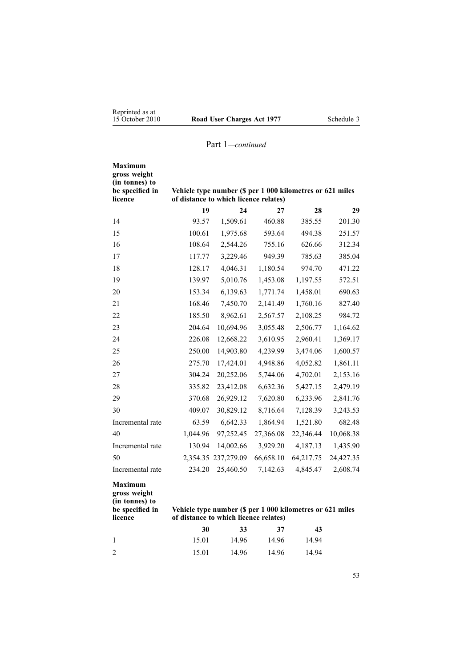| <b>Maximum</b><br>gross weight<br>(in tonnes) to<br>be specified in | Vehicle type number (\$ per 1 000 kilometres or 621 miles |            |           |           |           |
|---------------------------------------------------------------------|-----------------------------------------------------------|------------|-----------|-----------|-----------|
| licence                                                             | of distance to which licence relates)                     |            |           |           |           |
|                                                                     | 19                                                        | 24         | 27        | 28        | 29        |
| 14                                                                  | 93.57                                                     | 1,509.61   | 460.88    | 385.55    | 201.30    |
| 15                                                                  | 100.61                                                    | 1,975.68   | 593.64    | 494.38    | 251.57    |
| 16                                                                  | 108.64                                                    | 2,544.26   | 755.16    | 626.66    | 312.34    |
| 17                                                                  | 117.77                                                    | 3,229.46   | 949.39    | 785.63    | 385.04    |
| 18                                                                  | 128.17                                                    | 4,046.31   | 1,180.54  | 974.70    | 471.22    |
| 19                                                                  | 139.97                                                    | 5,010.76   | 1,453.08  | 1,197.55  | 572.51    |
| 20                                                                  | 153.34                                                    | 6,139.63   | 1,771.74  | 1,458.01  | 690.63    |
| 21                                                                  | 168.46                                                    | 7,450.70   | 2,141.49  | 1,760.16  | 827.40    |
| 22                                                                  | 185.50                                                    | 8,962.61   | 2,567.57  | 2,108.25  | 984.72    |
| 23                                                                  | 204.64                                                    | 10,694.96  | 3,055.48  | 2,506.77  | 1,164.62  |
| 24                                                                  | 226.08                                                    | 12,668.22  | 3,610.95  | 2,960.41  | 1,369.17  |
| 25                                                                  | 250.00                                                    | 14,903.80  | 4,239.99  | 3,474.06  | 1,600.57  |
| 26                                                                  | 275.70                                                    | 17,424.01  | 4,948.86  | 4,052.82  | 1,861.11  |
| 27                                                                  | 304.24                                                    | 20,252.06  | 5,744.06  | 4,702.01  | 2,153.16  |
| 28                                                                  | 335.82                                                    | 23,412.08  | 6,632.36  | 5,427.15  | 2,479.19  |
| 29                                                                  | 370.68                                                    | 26,929.12  | 7,620.80  | 6,233.96  | 2,841.76  |
| 30                                                                  | 409.07                                                    | 30,829.12  | 8,716.64  | 7,128.39  | 3,243.53  |
| Incremental rate                                                    | 63.59                                                     | 6,642.33   | 1,864.94  | 1,521.80  | 682.48    |
| 40                                                                  | 1,044.96                                                  | 97,252.45  | 27,366.08 | 22,346.44 | 10,068.38 |
| Incremental rate                                                    | 130.94                                                    | 14,002.66  | 3,929.20  | 4,187.13  | 1,435.90  |
| 50                                                                  | 2,354.35                                                  | 237,279.09 | 66,658.10 | 64,217.75 | 24,427.35 |
| Incremental rate                                                    | 234.20                                                    | 25,460.50  | 7,142.63  | 4,845.47  | 2,608.74  |
| <b>Maximum</b><br>gross weight                                      |                                                           |            |           |           |           |

**(in tonnes) to**

**be specified in licence**

#### **Vehicle type number (\$ per 1 000 kilometres or 621 miles of distance to which licence relates)**

|                | 30    | <b>33</b> | - 37  | 43    |
|----------------|-------|-----------|-------|-------|
|                | 15.01 | 14.96     | 14.96 | 14.94 |
| $\overline{2}$ | 15.01 | 14.96     | 14.96 | 14.94 |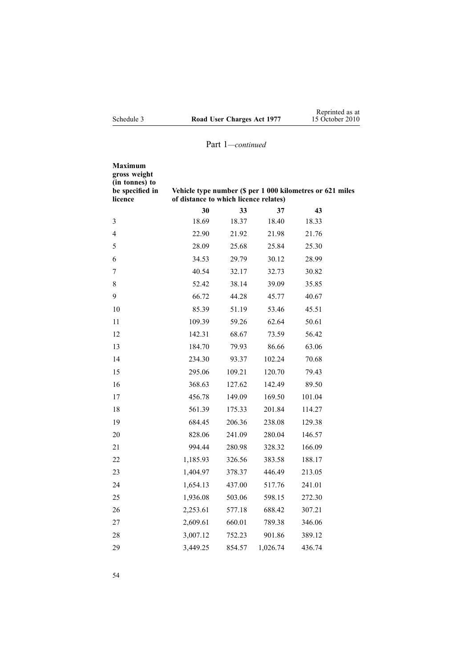| Maximum<br>gross weight<br>(in tonnes) to<br>be specified in<br>licence | Vehicle type number (\$ per 1 000 kilometres or 621 miles<br>of distance to which licence relates) |        |          |        |  |
|-------------------------------------------------------------------------|----------------------------------------------------------------------------------------------------|--------|----------|--------|--|
|                                                                         | 30                                                                                                 | 33     | 37       | 43     |  |
| 3                                                                       | 18.69                                                                                              | 18.37  | 18.40    | 18.33  |  |
| 4                                                                       | 22.90                                                                                              | 21.92  | 21.98    | 21.76  |  |
| 5                                                                       | 28.09                                                                                              | 25.68  | 25.84    | 25.30  |  |
| 6                                                                       | 34.53                                                                                              | 29.79  | 30.12    | 28.99  |  |
| 7                                                                       | 40.54                                                                                              | 32.17  | 32.73    | 30.82  |  |
| 8                                                                       | 52.42                                                                                              | 38.14  | 39.09    | 35.85  |  |
| 9                                                                       | 66.72                                                                                              | 44.28  | 45.77    | 40.67  |  |
| 10                                                                      | 85.39                                                                                              | 51.19  | 53.46    | 45.51  |  |
| 11                                                                      | 109.39                                                                                             | 59.26  | 62.64    | 50.61  |  |
| 12                                                                      | 142.31                                                                                             | 68.67  | 73.59    | 56.42  |  |
| 13                                                                      | 184.70                                                                                             | 79.93  | 86.66    | 63.06  |  |
| 14                                                                      | 234.30                                                                                             | 93.37  | 102.24   | 70.68  |  |
| 15                                                                      | 295.06                                                                                             | 109.21 | 120.70   | 79.43  |  |
| 16                                                                      | 368.63                                                                                             | 127.62 | 142.49   | 89.50  |  |
| 17                                                                      | 456.78                                                                                             | 149.09 | 169.50   | 101.04 |  |
| 18                                                                      | 561.39                                                                                             | 175.33 | 201.84   | 114.27 |  |
| 19                                                                      | 684.45                                                                                             | 206.36 | 238.08   | 129.38 |  |
| 20                                                                      | 828.06                                                                                             | 241.09 | 280.04   | 146.57 |  |
| 21                                                                      | 994.44                                                                                             | 280.98 | 328.32   | 166.09 |  |
| 22                                                                      | 1,185.93                                                                                           | 326.56 | 383.58   | 188.17 |  |
| 23                                                                      | 1,404.97                                                                                           | 378.37 | 446.49   | 213.05 |  |
| 24                                                                      | 1,654.13                                                                                           | 437.00 | 517.76   | 241.01 |  |
| 25                                                                      | 1,936.08                                                                                           | 503.06 | 598.15   | 272.30 |  |
| 26                                                                      | 2,253.61                                                                                           | 577.18 | 688.42   | 307.21 |  |
| 27                                                                      | 2,609.61                                                                                           | 660.01 | 789.38   | 346.06 |  |
| 28                                                                      | 3,007.12                                                                                           | 752.23 | 901.86   | 389.12 |  |
| 29                                                                      | 3,449.25                                                                                           | 854.57 | 1,026.74 | 436.74 |  |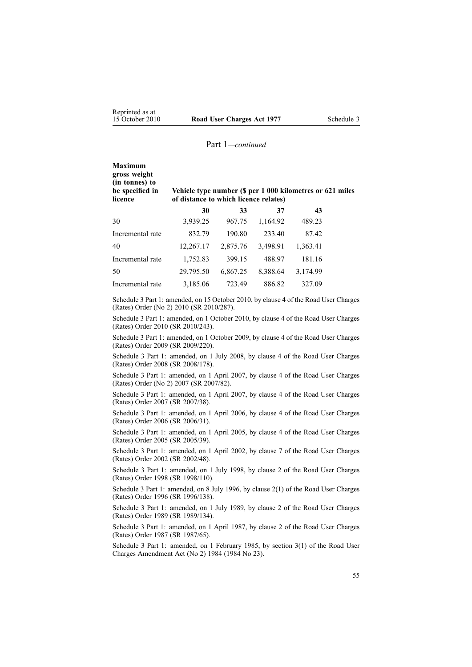| <b>Maximum</b><br>gross weight<br>(in tonnes) to<br>be specified in<br>licence | Vehicle type number (\$ per 1 000 kilometres or 621 miles<br>of distance to which licence relates) |          |          |          |  |  |
|--------------------------------------------------------------------------------|----------------------------------------------------------------------------------------------------|----------|----------|----------|--|--|
|                                                                                | 30                                                                                                 | 33       | 37       | 43       |  |  |
| 30                                                                             | 3,939.25                                                                                           | 967.75   | 1,164.92 | 489.23   |  |  |
| Incremental rate                                                               | 832.79                                                                                             | 190.80   | 233.40   | 87.42    |  |  |
| 40                                                                             | 12,267.17                                                                                          | 2,875.76 | 3,498.91 | 1,363.41 |  |  |
| Incremental rate                                                               | 1,752.83                                                                                           | 399.15   | 488.97   | 181.16   |  |  |
| 50                                                                             | 29,795.50                                                                                          | 6,867.25 | 8,388.64 | 3,174.99 |  |  |

Incremental rate 3,185.06 723.49 886.82 327.09

Schedule 3 Part 1: amended, on 15 October 2010, by [clause](http://www.legislation.govt.nz/pdflink.aspx?id=DLM3197108) 4 of the Road User Charges (Rates) Order (No 2) 2010 (SR 2010/287).

Schedule 3 Part 1: amended, on 1 October 2010, by [clause](http://www.legislation.govt.nz/pdflink.aspx?id=DLM3150108) 4 of the Road User Charges (Rates) Order 2010 (SR 2010/243).

Schedule 3 Part 1: amended, on 1 October 2009, by [clause](http://www.legislation.govt.nz/pdflink.aspx?id=DLM2249607) 4 of the Road User Charges (Rates) Order 2009 (SR 2009/220).

Schedule 3 Part 1: amended, on 1 July 2008, by [clause](http://www.legislation.govt.nz/pdflink.aspx?id=DLM1375208) 4 of the Road User Charges (Rates) Order 2008 (SR 2008/178).

Schedule 3 Part 1: amended, on 1 April 2007, by [clause](http://www.legislation.govt.nz/pdflink.aspx?id=DLM432355) 4 of the Road User Charges (Rates) Order (No 2) 2007 (SR 2007/82).

Schedule 3 Part 1: amended, on 1 April 2007, by clause 4 of the Road User Charges (Rates) Order 2007 (SR 2007/38).

Schedule 3 Part 1: amended, on 1 April 2006, by clause 4 of the Road User Charges (Rates) Order 2006 (SR 2006/31).

Schedule 3 Part 1: amended, on 1 April 2005, by clause 4 of the Road User Charges (Rates) Order 2005 (SR 2005/39).

Schedule 3 Part 1: amended, on 1 April 2002, by clause 7 of the Road User Charges (Rates) Order 2002 (SR 2002/48).

Schedule 3 Part 1: amended, on 1 July 1998, by clause 2 of the Road User Charges (Rates) Order 1998 (SR 1998/110).

Schedule 3 Part 1: amended, on 8 July 1996, by [clause](http://www.legislation.govt.nz/pdflink.aspx?id=DLM212117) 2(1) of the Road User Charges (Rates) Order 1996 (SR 1996/138).

Schedule 3 Part 1: amended, on 1 July 1989, by clause 2 of the Road User Charges (Rates) Order 1989 (SR 1989/134).

Schedule 3 Part 1: amended, on 1 April 1987, by clause 2 of the Road User Charges (Rates) Order 1987 (SR 1987/65).

Schedule 3 Part 1: amended, on 1 February 1985, by section 3(1) of the Road User Charges Amendment Act (No 2) 1984 (1984 No 23).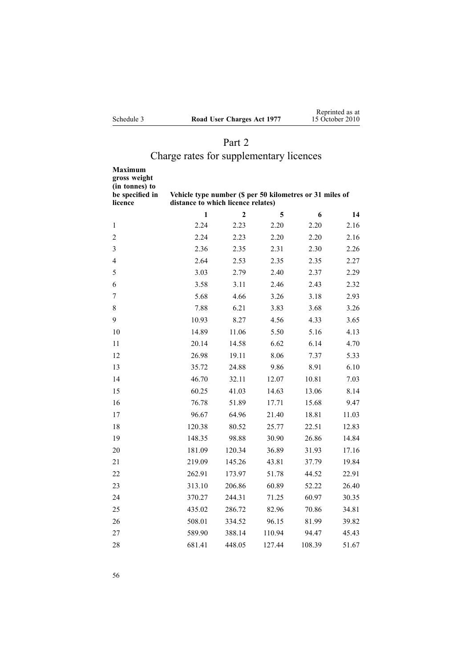| Schedule 3 |  |  |
|------------|--|--|
|            |  |  |

## Part 2

# Charge rates for supplementary licences

| Maximum<br>gross weight<br>(in tonnes) to<br>be specified in<br>licence | Vehicle type number (\$ per 50 kilometres or 31 miles of<br>distance to which licence relates) |                |        |        |       |
|-------------------------------------------------------------------------|------------------------------------------------------------------------------------------------|----------------|--------|--------|-------|
|                                                                         | 1                                                                                              | $\overline{2}$ | 5      | 6      | 14    |
| 1                                                                       | 2.24                                                                                           | 2.23           | 2.20   | 2.20   | 2.16  |
| $\overline{c}$                                                          | 2.24                                                                                           | 2.23           | 2.20   | 2.20   | 2.16  |
| 3                                                                       | 2.36                                                                                           | 2.35           | 2.31   | 2.30   | 2.26  |
| 4                                                                       | 2.64                                                                                           | 2.53           | 2.35   | 2.35   | 2.27  |
| 5                                                                       | 3.03                                                                                           | 2.79           | 2.40   | 2.37   | 2.29  |
| 6                                                                       | 3.58                                                                                           | 3.11           | 2.46   | 2.43   | 2.32  |
| 7                                                                       | 5.68                                                                                           | 4.66           | 3.26   | 3.18   | 2.93  |
| 8                                                                       | 7.88                                                                                           | 6.21           | 3.83   | 3.68   | 3.26  |
| 9                                                                       | 10.93                                                                                          | 8.27           | 4.56   | 4.33   | 3.65  |
| 10                                                                      | 14.89                                                                                          | 11.06          | 5.50   | 5.16   | 4.13  |
| 11                                                                      | 20.14                                                                                          | 14.58          | 6.62   | 6.14   | 4.70  |
| 12                                                                      | 26.98                                                                                          | 19.11          | 8.06   | 7.37   | 5.33  |
| 13                                                                      | 35.72                                                                                          | 24.88          | 9.86   | 8.91   | 6.10  |
| 14                                                                      | 46.70                                                                                          | 32.11          | 12.07  | 10.81  | 7.03  |
| 15                                                                      | 60.25                                                                                          | 41.03          | 14.63  | 13.06  | 8.14  |
| 16                                                                      | 76.78                                                                                          | 51.89          | 17.71  | 15.68  | 9.47  |
| 17                                                                      | 96.67                                                                                          | 64.96          | 21.40  | 18.81  | 11.03 |
| 18                                                                      | 120.38                                                                                         | 80.52          | 25.77  | 22.51  | 12.83 |
| 19                                                                      | 148.35                                                                                         | 98.88          | 30.90  | 26.86  | 14.84 |
| 20                                                                      | 181.09                                                                                         | 120.34         | 36.89  | 31.93  | 17.16 |
| 21                                                                      | 219.09                                                                                         | 145.26         | 43.81  | 37.79  | 19.84 |
| 22                                                                      | 262.91                                                                                         | 173.97         | 51.78  | 44.52  | 22.91 |
| 23                                                                      | 313.10                                                                                         | 206.86         | 60.89  | 52.22  | 26.40 |
| 24                                                                      | 370.27                                                                                         | 244.31         | 71.25  | 60.97  | 30.35 |
| 25                                                                      | 435.02                                                                                         | 286.72         | 82.96  | 70.86  | 34.81 |
| 26                                                                      | 508.01                                                                                         | 334.52         | 96.15  | 81.99  | 39.82 |
| 27                                                                      | 589.90                                                                                         | 388.14         | 110.94 | 94.47  | 45.43 |
| 28                                                                      | 681.41                                                                                         | 448.05         | 127.44 | 108.39 | 51.67 |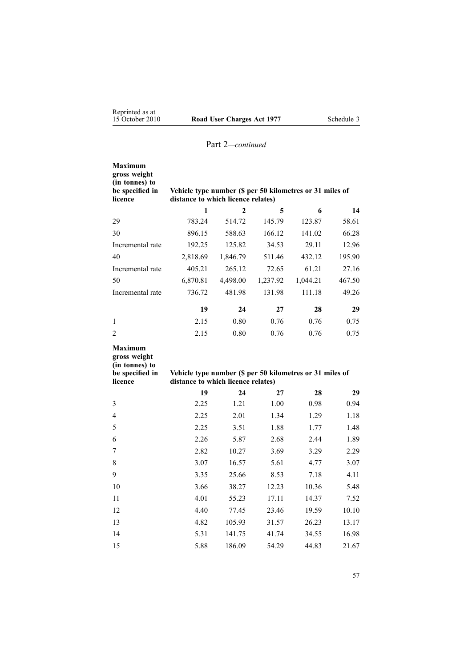| <b>Maximum</b><br>gross weight<br>(in tonnes) to<br>be specified in<br>licence                                                                                                   | Vehicle type number (\$ per 50 kilometres or 31 miles of<br>distance to which licence relates) |              |          |          |        |  |
|----------------------------------------------------------------------------------------------------------------------------------------------------------------------------------|------------------------------------------------------------------------------------------------|--------------|----------|----------|--------|--|
|                                                                                                                                                                                  | 1                                                                                              | $\mathbf{2}$ | 5        | 6        | 14     |  |
| 29                                                                                                                                                                               | 783.24                                                                                         | 514.72       | 145.79   | 123.87   | 58.61  |  |
| 30                                                                                                                                                                               | 896.15                                                                                         | 588.63       | 166.12   | 141.02   | 66.28  |  |
| Incremental rate                                                                                                                                                                 | 192.25                                                                                         | 125.82       | 34.53    | 29.11    | 12.96  |  |
| 40                                                                                                                                                                               | 2,818.69                                                                                       | 1,846.79     | 511.46   | 432.12   | 195.90 |  |
| Incremental rate                                                                                                                                                                 | 405.21                                                                                         | 265.12       | 72.65    | 61.21    | 27.16  |  |
| 50                                                                                                                                                                               | 6,870.81                                                                                       | 4,498.00     | 1,237.92 | 1,044.21 | 467.50 |  |
| Incremental rate                                                                                                                                                                 | 736.72                                                                                         | 481.98       | 131.98   | 111.18   | 49.26  |  |
|                                                                                                                                                                                  | 19                                                                                             | 24           | 27       | 28       | 29     |  |
| $\mathbf{1}$                                                                                                                                                                     | 2.15                                                                                           | 0.80         | 0.76     | 0.76     | 0.75   |  |
| $\overline{2}$                                                                                                                                                                   | 2.15                                                                                           | 0.80         | 0.76     | 0.76     | 0.75   |  |
| <b>Maximum</b><br>gross weight<br>(in tonnes) to<br>be specified in<br>Vehicle type number (\$ per 50 kilometres or 31 miles of<br>licence<br>distance to which licence relates) |                                                                                                |              |          |          |        |  |
|                                                                                                                                                                                  | 19                                                                                             | 24           | 27       | 28       | 29     |  |
| 3                                                                                                                                                                                | 2.25                                                                                           | 1.21         | 1.00     | 0.98     | 0.94   |  |
| 4                                                                                                                                                                                | 2.25                                                                                           | 2.01         | 1.34     | 1.29     | 1.18   |  |
| 5                                                                                                                                                                                | 2.25                                                                                           | 3.51         | 1.88     | 1.77     | 1.48   |  |
| 6                                                                                                                                                                                | 2.26                                                                                           | 5.87         | 2.68     | 2.44     | 1.89   |  |
| 7                                                                                                                                                                                | 2.82                                                                                           | 10.27        | 3.69     | 3.29     | 2.29   |  |
| 8                                                                                                                                                                                | 3.07                                                                                           | 16.57        | 5.61     | 4.77     | 3.07   |  |
| 9                                                                                                                                                                                | 3.35                                                                                           | 25.66        | 8.53     | 7.18     | 4.11   |  |
| 10                                                                                                                                                                               | 3.66                                                                                           | 38.27        | 12.23    | 10.36    | 5.48   |  |

 4.01 55.23 17.11 14.37 7.52 4.40 77.45 23.46 19.59 10.10 4.82 105.93 31.57 26.23 13.17 5.31 141.75 41.74 34.55 16.98 5.88 186.09 54.29 44.83 21.67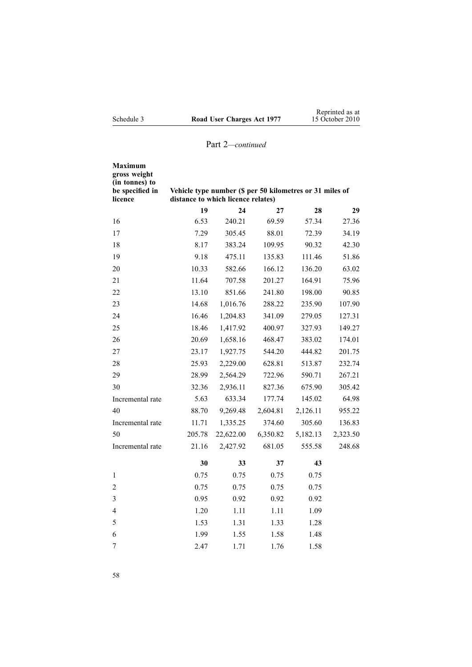| <b>Maximum</b><br>gross weight<br>(in tonnes) to<br>be specified in<br>licence | Vehicle type number (\$ per 50 kilometres or 31 miles of<br>distance to which licence relates) |           |          |          |          |
|--------------------------------------------------------------------------------|------------------------------------------------------------------------------------------------|-----------|----------|----------|----------|
|                                                                                | 19                                                                                             | 24        | 27       | 28       | 29       |
| 16                                                                             | 6.53                                                                                           | 240.21    | 69.59    | 57.34    | 27.36    |
| 17                                                                             | 7.29                                                                                           | 305.45    | 88.01    | 72.39    | 34.19    |
| 18                                                                             | 8.17                                                                                           | 383.24    | 109.95   | 90.32    | 42.30    |
| 19                                                                             | 9.18                                                                                           | 475.11    | 135.83   | 111.46   | 51.86    |
| 20                                                                             | 10.33                                                                                          | 582.66    | 166.12   | 136.20   | 63.02    |
| 21                                                                             | 11.64                                                                                          | 707.58    | 201.27   | 164.91   | 75.96    |
| 22                                                                             | 13.10                                                                                          | 851.66    | 241.80   | 198.00   | 90.85    |
| 23                                                                             | 14.68                                                                                          | 1,016.76  | 288.22   | 235.90   | 107.90   |
| 24                                                                             | 16.46                                                                                          | 1,204.83  | 341.09   | 279.05   | 127.31   |
| 25                                                                             | 18.46                                                                                          | 1,417.92  | 400.97   | 327.93   | 149.27   |
| 26                                                                             | 20.69                                                                                          | 1,658.16  | 468.47   | 383.02   | 174.01   |
| 27                                                                             | 23.17                                                                                          | 1,927.75  | 544.20   | 444.82   | 201.75   |
| 28                                                                             | 25.93                                                                                          | 2,229.00  | 628.81   | 513.87   | 232.74   |
| 29                                                                             | 28.99                                                                                          | 2,564.29  | 722.96   | 590.71   | 267.21   |
| 30                                                                             | 32.36                                                                                          | 2,936.11  | 827.36   | 675.90   | 305.42   |
| Incremental rate                                                               | 5.63                                                                                           | 633.34    | 177.74   | 145.02   | 64.98    |
| 40                                                                             | 88.70                                                                                          | 9,269.48  | 2,604.81 | 2,126.11 | 955.22   |
| Incremental rate                                                               | 11.71                                                                                          | 1,335.25  | 374.60   | 305.60   | 136.83   |
| 50                                                                             | 205.78                                                                                         | 22,622.00 | 6,350.82 | 5,182.13 | 2,323.50 |
| Incremental rate                                                               | 21.16                                                                                          | 2,427.92  | 681.05   | 555.58   | 248.68   |
|                                                                                | 30                                                                                             | 33        | 37       | 43       |          |
| 1                                                                              | 0.75                                                                                           | 0.75      | 0.75     | 0.75     |          |
| 2                                                                              | 0.75                                                                                           | 0.75      | 0.75     | 0.75     |          |
| $\overline{\mathbf{3}}$                                                        | 0.95                                                                                           | 0.92      | 0.92     | 0.92     |          |
| 4                                                                              | 1.20                                                                                           | 1.11      | 1.11     | 1.09     |          |
| 5                                                                              | 1.53                                                                                           | 1.31      | 1.33     | 1.28     |          |
| 6                                                                              | 1.99                                                                                           | 1.55      | 1.58     | 1.48     |          |
| 7                                                                              | 2.47                                                                                           | 1.71      | 1.76     | 1.58     |          |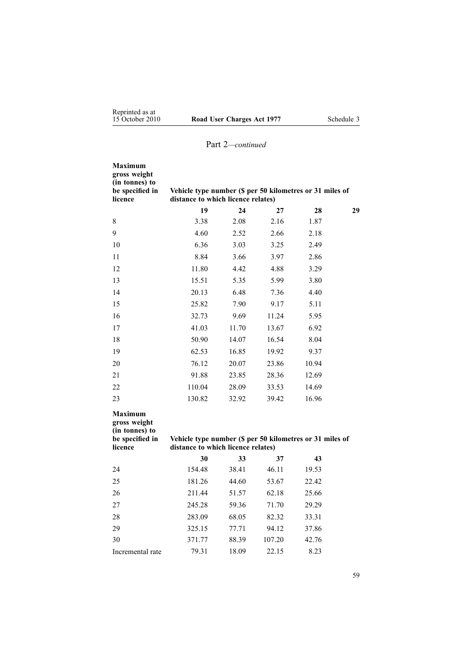| Maximum<br>gross weight<br>(in tonnes) to<br>be specified in<br>licence        | Vehicle type number (\$ per 50 kilometres or 31 miles of<br>distance to which licence relates) |       |        |       |    |
|--------------------------------------------------------------------------------|------------------------------------------------------------------------------------------------|-------|--------|-------|----|
|                                                                                | 19                                                                                             | 24    | 27     | 28    | 29 |
| $8\,$                                                                          | 3.38                                                                                           | 2.08  | 2.16   | 1.87  |    |
| 9                                                                              | 4.60                                                                                           | 2.52  | 2.66   | 2.18  |    |
| 10                                                                             | 6.36                                                                                           | 3.03  | 3.25   | 2.49  |    |
| 11                                                                             | 8.84                                                                                           | 3.66  | 3.97   | 2.86  |    |
| 12                                                                             | 11.80                                                                                          | 4.42  | 4.88   | 3.29  |    |
| 13                                                                             | 15.51                                                                                          | 5.35  | 5.99   | 3.80  |    |
| 14                                                                             | 20.13                                                                                          | 6.48  | 7.36   | 4.40  |    |
| 15                                                                             | 25.82                                                                                          | 7.90  | 9.17   | 5.11  |    |
| 16                                                                             | 32.73                                                                                          | 9.69  | 11.24  | 5.95  |    |
| 17                                                                             | 41.03                                                                                          | 11.70 | 13.67  | 6.92  |    |
| 18                                                                             | 50.90                                                                                          | 14.07 | 16.54  | 8.04  |    |
| 19                                                                             | 62.53                                                                                          | 16.85 | 19.92  | 9.37  |    |
| 20                                                                             | 76.12                                                                                          | 20.07 | 23.86  | 10.94 |    |
| 21                                                                             | 91.88                                                                                          | 23.85 | 28.36  | 12.69 |    |
| 22                                                                             | 110.04                                                                                         | 28.09 | 33.53  | 14.69 |    |
| 23                                                                             | 130.82                                                                                         | 32.92 | 39.42  | 16.96 |    |
| <b>Maximum</b><br>gross weight<br>(in tonnes) to<br>be specified in<br>licence | Vehicle type number (\$ per 50 kilometres or 31 miles of<br>distance to which licence relates) |       |        |       |    |
|                                                                                | 30                                                                                             | 33    | 37     | 43    |    |
| 24                                                                             | 154.48                                                                                         | 38.41 | 46.11  | 19.53 |    |
| 25                                                                             | 181.26                                                                                         | 44.60 | 53.67  | 22.42 |    |
| 26                                                                             | 211.44                                                                                         | 51.57 | 62.18  | 25.66 |    |
| 27                                                                             | 245.28                                                                                         | 59.36 | 71.70  | 29.29 |    |
| 28                                                                             | 283.09                                                                                         | 68.05 | 82.32  | 33.31 |    |
| 29                                                                             | 325.15                                                                                         | 77.71 | 94.12  | 37.86 |    |
| 30                                                                             | 371.77                                                                                         | 88.39 | 107.20 | 42.76 |    |
| Incremental rate                                                               | 79.31                                                                                          | 18.09 | 22.15  | 8.23  |    |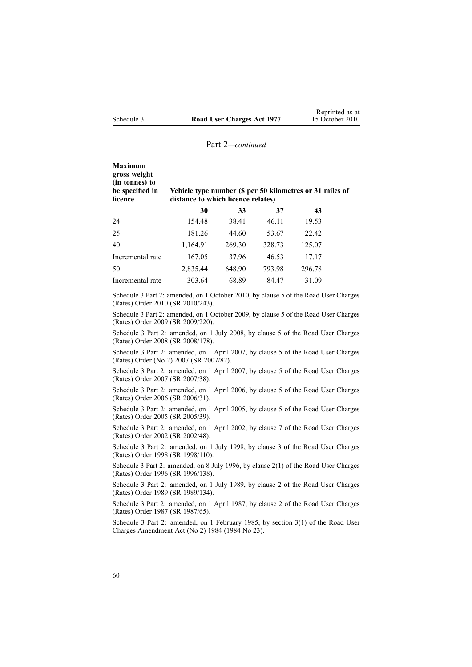| <b>Maximum</b><br>gross weight<br>(in tonnes) to<br>be specified in<br>licence | Vehicle type number (\$ per 50 kilometres or 31 miles of<br>distance to which licence relates) |        |        |        |  |
|--------------------------------------------------------------------------------|------------------------------------------------------------------------------------------------|--------|--------|--------|--|
|                                                                                | 30                                                                                             | 33     | 37     | 43     |  |
| 24                                                                             | 154.48                                                                                         | 38.41  | 46.11  | 19.53  |  |
| 25                                                                             | 181.26                                                                                         | 44.60  | 53.67  | 22.42  |  |
| 40                                                                             | 1,164.91                                                                                       | 269.30 | 328.73 | 125.07 |  |
| Incremental rate                                                               | 167.05                                                                                         | 37.96  | 46.53  | 17.17  |  |
| 50                                                                             | 2,835.44                                                                                       | 648.90 | 793.98 | 296.78 |  |
| Incremental rate                                                               | 303.64                                                                                         | 68.89  | 84.47  | 31.09  |  |

Schedule 3 Part 2: amended, on 1 October 2010, by [clause](http://www.legislation.govt.nz/pdflink.aspx?id=DLM3150110) 5 of the Road User Charges (Rates) Order 2010 (SR 2010/243).

Schedule 3 Part 2: amended, on 1 October 2009, by [clause](http://www.legislation.govt.nz/pdflink.aspx?id=DLM2249608) 5 of the Road User Charges (Rates) Order 2009 (SR 2009/220).

Schedule 3 Part 2: amended, on 1 July 2008, by [clause](http://www.legislation.govt.nz/pdflink.aspx?id=DLM1375209) 5 of the Road User Charges (Rates) Order 2008 (SR 2008/178).

Schedule 3 Part 2: amended, on 1 April 2007, by [clause](http://www.legislation.govt.nz/pdflink.aspx?id=DLM432356) 5 of the Road User Charges (Rates) Order (No 2) 2007 (SR 2007/82).

Schedule 3 Part 2: amended, on 1 April 2007, by clause 5 of the Road User Charges (Rates) Order 2007 (SR 2007/38).

Schedule 3 Part 2: amended, on 1 April 2006, by clause 5 of the Road User Charges (Rates) Order 2006 (SR 2006/31).

Schedule 3 Part 2: amended, on 1 April 2005, by clause 5 of the Road User Charges (Rates) Order 2005 (SR 2005/39).

Schedule 3 Part 2: amended, on 1 April 2002, by clause 7 of the Road User Charges (Rates) Order 2002 (SR 2002/48).

Schedule 3 Part 2: amended, on 1 July 1998, by clause 3 of the Road User Charges (Rates) Order 1998 (SR 1998/110).

Schedule 3 Part 2: amended, on 8 July 1996, by [clause](http://www.legislation.govt.nz/pdflink.aspx?id=DLM212117) 2(1) of the Road User Charges (Rates) Order 1996 (SR 1996/138).

Schedule 3 Part 2: amended, on 1 July 1989, by clause 2 of the Road User Charges (Rates) Order 1989 (SR 1989/134).

Schedule 3 Part 2: amended, on 1 April 1987, by clause 2 of the Road User Charges (Rates) Order 1987 (SR 1987/65).

Schedule 3 Part 2: amended, on 1 February 1985, by section 3(1) of the Road User Charges Amendment Act (No 2) 1984 (1984 No 23).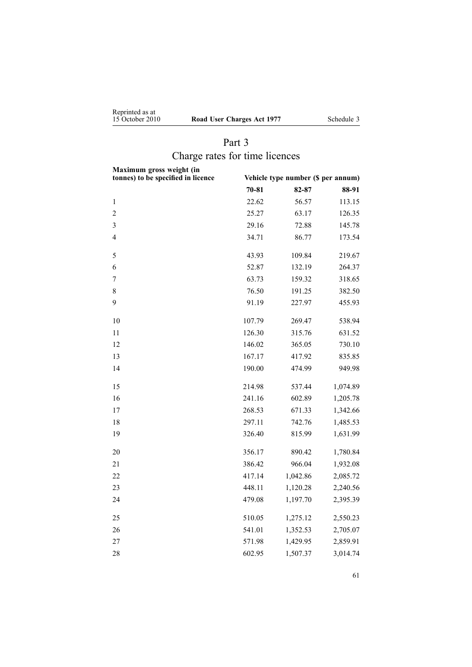<span id="page-60-0"></span>

| Reprinted as at |                     |  |
|-----------------|---------------------|--|
| 15 October 2010 | <b>Road User Ch</b> |  |

**15 October 2010 1977** Schedule 3

## Part 3 Charge rates for time licences

| Maximum gross weight (in<br>tonnes) to be specified in licence | Vehicle type number (\$ per annum) |          |          |
|----------------------------------------------------------------|------------------------------------|----------|----------|
|                                                                | $70 - 81$                          | 82-87    | 88-91    |
| $\mathbf{1}$                                                   | 22.62                              | 56.57    | 113.15   |
| $\overline{c}$                                                 | 25.27                              | 63.17    | 126.35   |
| 3                                                              | 29.16                              | 72.88    | 145.78   |
| 4                                                              | 34.71                              | 86.77    | 173.54   |
| 5                                                              | 43.93                              | 109.84   | 219.67   |
| 6                                                              | 52.87                              | 132.19   | 264.37   |
| $\overline{7}$                                                 | 63.73                              | 159.32   | 318.65   |
| 8                                                              | 76.50                              | 191.25   | 382.50   |
| 9                                                              | 91.19                              | 227.97   | 455.93   |
| 10                                                             | 107.79                             | 269.47   | 538.94   |
| 11                                                             | 126.30                             | 315.76   | 631.52   |
| 12                                                             | 146.02                             | 365.05   | 730.10   |
| 13                                                             | 167.17                             | 417.92   | 835.85   |
| 14                                                             | 190.00                             | 474.99   | 949.98   |
| 15                                                             | 214.98                             | 537.44   | 1,074.89 |
| 16                                                             | 241.16                             | 602.89   | 1,205.78 |
| 17                                                             | 268.53                             | 671.33   | 1,342.66 |
| 18                                                             | 297.11                             | 742.76   | 1,485.53 |
| 19                                                             | 326.40                             | 815.99   | 1,631.99 |
| 20                                                             | 356.17                             | 890.42   | 1,780.84 |
| 21                                                             | 386.42                             | 966.04   | 1,932.08 |
| 22                                                             | 417.14                             | 1,042.86 | 2,085.72 |
| 23                                                             | 448.11                             | 1,120.28 | 2,240.56 |
| 24                                                             | 479.08                             | 1,197.70 | 2,395.39 |
| 25                                                             | 510.05                             | 1,275.12 | 2,550.23 |
| 26                                                             | 541.01                             | 1,352.53 | 2,705.07 |
| 27                                                             | 571.98                             | 1,429.95 | 2,859.91 |
| 28                                                             | 602.95                             | 1,507.37 | 3,014.74 |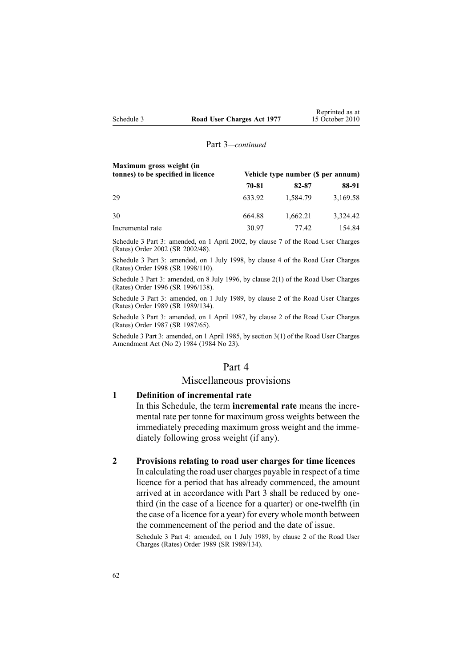| Maximum gross weight (in<br>tonnes) to be specified in licence | Vehicle type number (\$ per annum) |          |          |
|----------------------------------------------------------------|------------------------------------|----------|----------|
|                                                                | 70-81                              | 82-87    | 88-91    |
| 29                                                             | 633.92                             | 1,584.79 | 3,169.58 |
| 30                                                             | 664.88                             | 1,662.21 | 3,324.42 |
| Incremental rate                                               | 30.97                              | 77.42    | 154.84   |

Schedule 3 Part 3: amended, on 1 April 2002, by clause 7 of the Road User Charges (Rates) Order 2002 (SR 2002/48).

Schedule 3 Part 3: amended, on 1 July 1998, by clause 4 of the Road User Charges (Rates) Order 1998 (SR 1998/110).

Schedule 3 Part 3: amended, on 8 July 1996, by [clause](http://www.legislation.govt.nz/pdflink.aspx?id=DLM212117) 2(1) of the Road User Charges (Rates) Order 1996 (SR 1996/138).

Schedule 3 Part 3: amended, on 1 July 1989, by clause 2 of the Road User Charges (Rates) Order 1989 (SR 1989/134).

Schedule 3 Part 3: amended, on 1 April 1987, by clause 2 of the Road User Charges (Rates) Order 1987 (SR 1987/65).

Schedule 3 Part 3: amended, on 1 April 1985, by section 3(1) of the Road User Charges Amendment Act (No 2) 1984 (1984 No 23).

#### Part 4

## Miscellaneous provisions

## **1 Definition of incremental rate**

In this Schedule, the term **incremental rate** means the incremental rate per tonne for maximum gross weights between the immediately preceding maximum gross weight and the immediately following gross weight (if any).

#### **2 Provisions relating to road user charges for time licences**

In calculating the road user charges payable in respec<sup>t</sup> of <sup>a</sup> time licence for <sup>a</sup> period that has already commenced, the amount arrived at in accordance with [Part](#page-60-0) 3 shall be reduced by onethird (in the case of <sup>a</sup> licence for <sup>a</sup> quarter) or one-twelfth (in the case of <sup>a</sup> licence for <sup>a</sup> year) for every whole month between the commencement of the period and the date of issue.

Schedule 3 Part 4: amended, on 1 July 1989, by clause 2 of the Road User Charges (Rates) Order 1989 (SR 1989/134).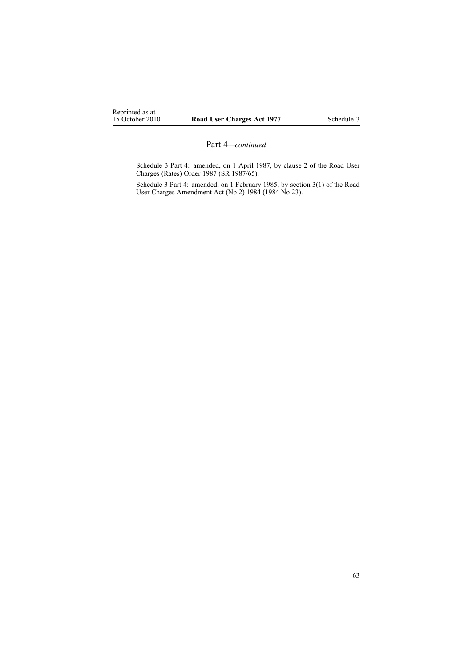Schedule 3 Part 4: amended, on 1 April 1987, by clause 2 of the Road User Charges (Rates) Order 1987 (SR 1987/65).

Schedule 3 Part 4: amended, on 1 February 1985, by section 3(1) of the Road User Charges Amendment Act (No 2) 1984 (1984 No 23).